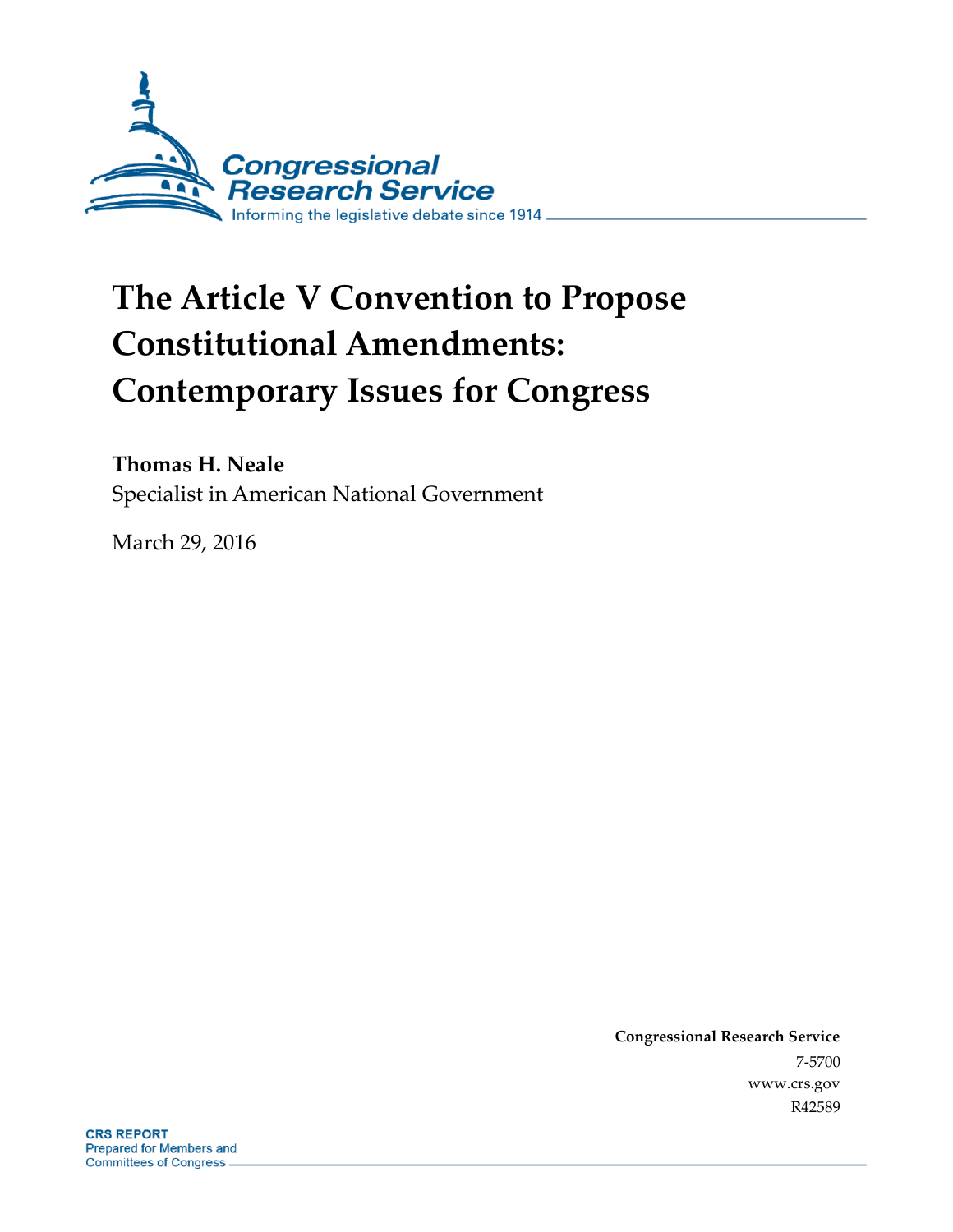

# **The Article V Convention to Propose Constitutional Amendments: Contemporary Issues for Congress**

## **Thomas H. Neale**

Specialist in American National Government

March 29, 2016

**Congressional Research Service** 7-5700 www.crs.gov R42589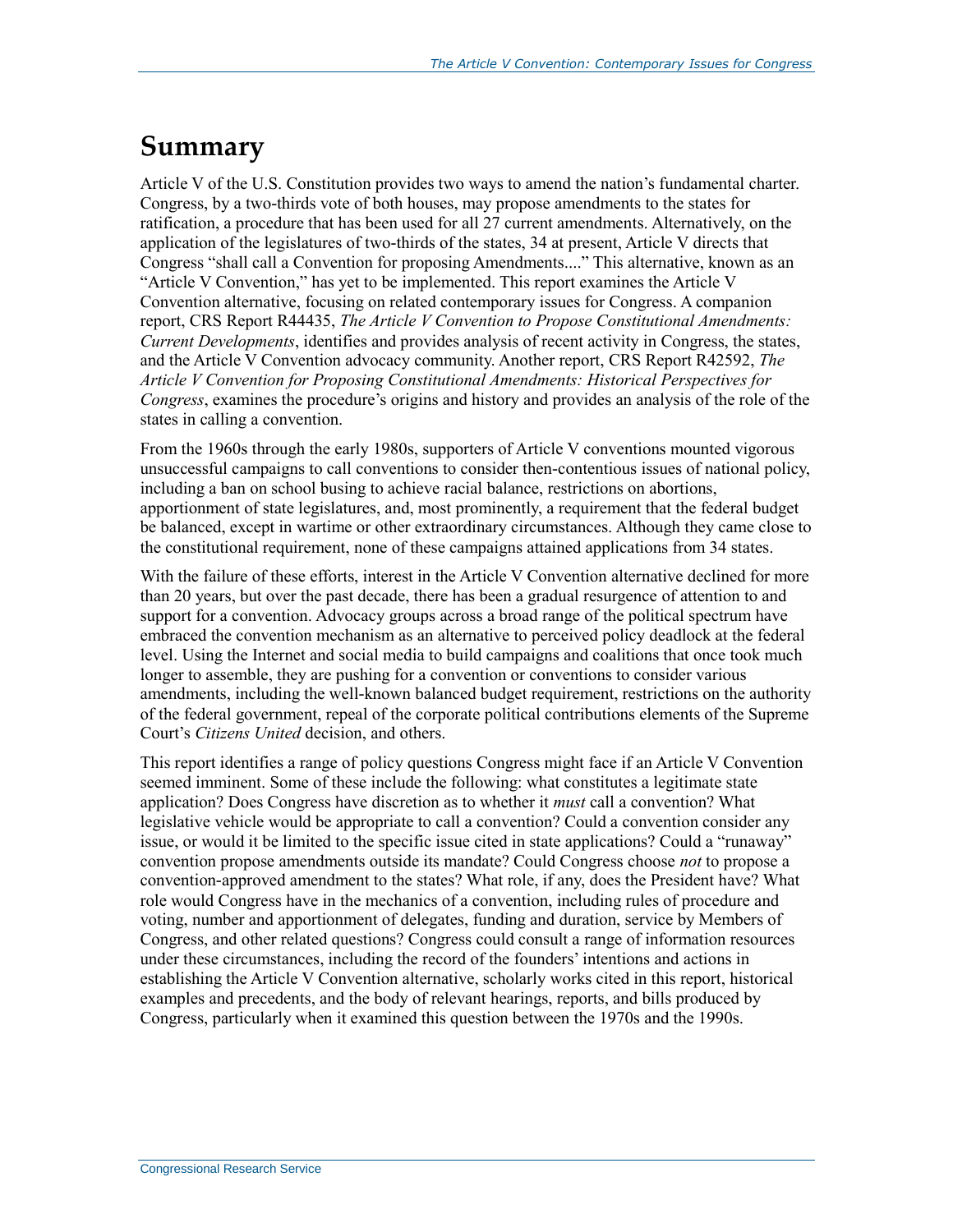## **Summary**

Article V of the U.S. Constitution provides two ways to amend the nation's fundamental charter. Congress, by a two-thirds vote of both houses, may propose amendments to the states for ratification, a procedure that has been used for all 27 current amendments. Alternatively, on the application of the legislatures of two-thirds of the states, 34 at present, Article V directs that Congress "shall call a Convention for proposing Amendments...." This alternative, known as an "Article V Convention," has yet to be implemented. This report examines the Article V Convention alternative, focusing on related contemporary issues for Congress. A companion report, CRS Report R44435, *The Article V Convention to Propose Constitutional Amendments: Current Developments*, identifies and provides analysis of recent activity in Congress, the states, and the Article V Convention advocacy community. Another report, CRS Report R42592, *The Article V Convention for Proposing Constitutional Amendments: Historical Perspectives for Congress*, examines the procedure's origins and history and provides an analysis of the role of the states in calling a convention.

From the 1960s through the early 1980s, supporters of Article V conventions mounted vigorous unsuccessful campaigns to call conventions to consider then-contentious issues of national policy, including a ban on school busing to achieve racial balance, restrictions on abortions, apportionment of state legislatures, and, most prominently, a requirement that the federal budget be balanced, except in wartime or other extraordinary circumstances. Although they came close to the constitutional requirement, none of these campaigns attained applications from 34 states.

With the failure of these efforts, interest in the Article V Convention alternative declined for more than 20 years, but over the past decade, there has been a gradual resurgence of attention to and support for a convention. Advocacy groups across a broad range of the political spectrum have embraced the convention mechanism as an alternative to perceived policy deadlock at the federal level. Using the Internet and social media to build campaigns and coalitions that once took much longer to assemble, they are pushing for a convention or conventions to consider various amendments, including the well-known balanced budget requirement, restrictions on the authority of the federal government, repeal of the corporate political contributions elements of the Supreme Court's *Citizens United* decision, and others.

This report identifies a range of policy questions Congress might face if an Article V Convention seemed imminent. Some of these include the following: what constitutes a legitimate state application? Does Congress have discretion as to whether it *must* call a convention? What legislative vehicle would be appropriate to call a convention? Could a convention consider any issue, or would it be limited to the specific issue cited in state applications? Could a "runaway" convention propose amendments outside its mandate? Could Congress choose *not* to propose a convention-approved amendment to the states? What role, if any, does the President have? What role would Congress have in the mechanics of a convention, including rules of procedure and voting, number and apportionment of delegates, funding and duration, service by Members of Congress, and other related questions? Congress could consult a range of information resources under these circumstances, including the record of the founders' intentions and actions in establishing the Article V Convention alternative, scholarly works cited in this report, historical examples and precedents, and the body of relevant hearings, reports, and bills produced by Congress, particularly when it examined this question between the 1970s and the 1990s.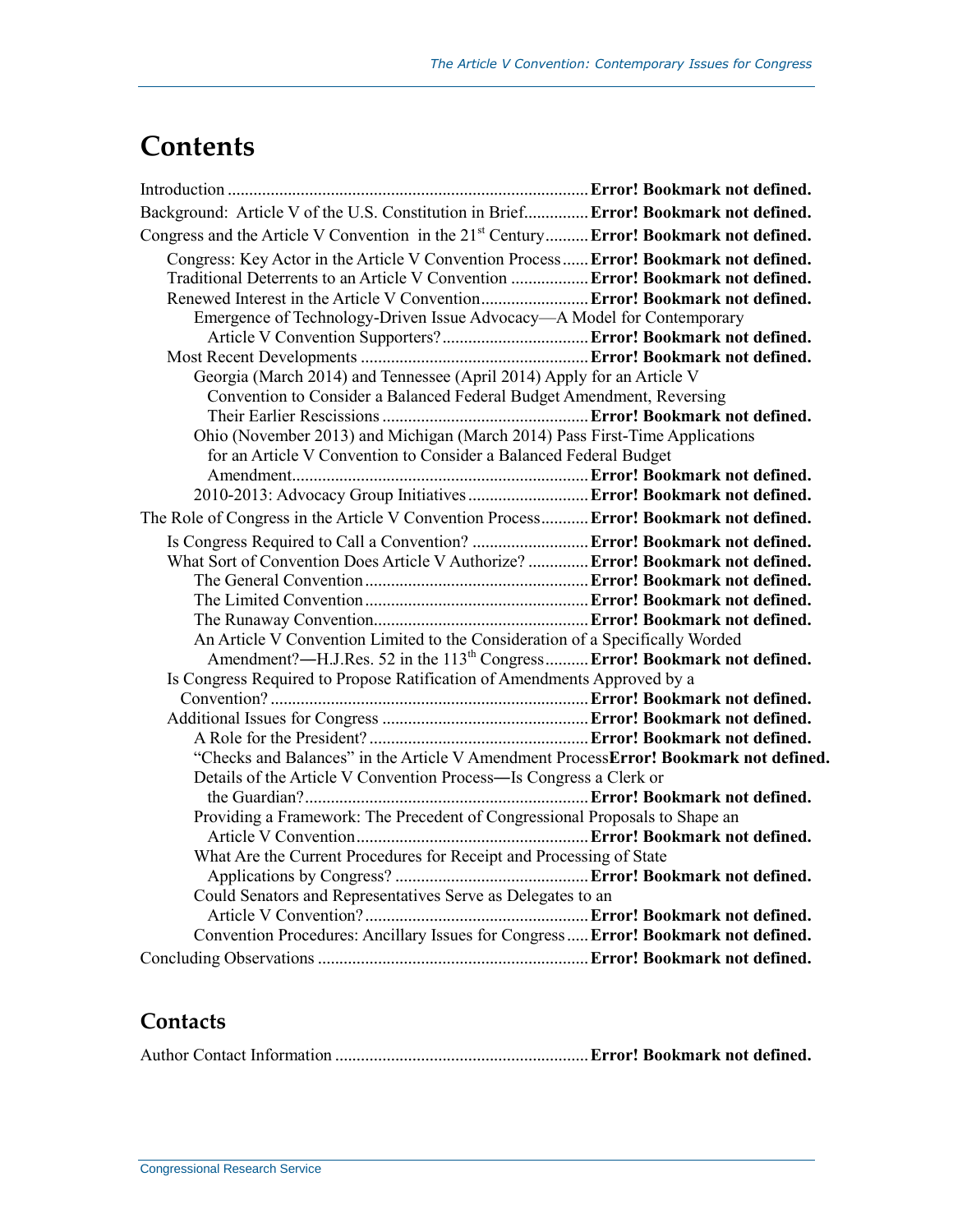## **Contents**

| Background: Article V of the U.S. Constitution in Brief Error! Bookmark not defined.               |  |
|----------------------------------------------------------------------------------------------------|--|
| Congress and the Article V Convention in the 21 <sup>st</sup> Century Error! Bookmark not defined. |  |
| Congress: Key Actor in the Article V Convention Process  Error! Bookmark not defined.              |  |
| Traditional Deterrents to an Article V Convention  Error! Bookmark not defined.                    |  |
|                                                                                                    |  |
| Emergence of Technology-Driven Issue Advocacy—A Model for Contemporary                             |  |
|                                                                                                    |  |
|                                                                                                    |  |
| Georgia (March 2014) and Tennessee (April 2014) Apply for an Article V                             |  |
| Convention to Consider a Balanced Federal Budget Amendment, Reversing                              |  |
|                                                                                                    |  |
| Ohio (November 2013) and Michigan (March 2014) Pass First-Time Applications                        |  |
| for an Article V Convention to Consider a Balanced Federal Budget                                  |  |
|                                                                                                    |  |
| 2010-2013: Advocacy Group Initiatives  Error! Bookmark not defined.                                |  |
| The Role of Congress in the Article V Convention Process Error! Bookmark not defined.              |  |
| Is Congress Required to Call a Convention?  Error! Bookmark not defined.                           |  |
| What Sort of Convention Does Article V Authorize?  Error! Bookmark not defined.                    |  |
|                                                                                                    |  |
|                                                                                                    |  |
|                                                                                                    |  |
| An Article V Convention Limited to the Consideration of a Specifically Worded                      |  |
| Amendment?-H.J.Res. 52 in the 113 <sup>th</sup> Congress Error! Bookmark not defined.              |  |
| Is Congress Required to Propose Ratification of Amendments Approved by a                           |  |
|                                                                                                    |  |
|                                                                                                    |  |
| "Checks and Balances" in the Article V Amendment ProcessError! Bookmark not defined.               |  |
| Details of the Article V Convention Process—Is Congress a Clerk or                                 |  |
|                                                                                                    |  |
| Providing a Framework: The Precedent of Congressional Proposals to Shape an                        |  |
|                                                                                                    |  |
| What Are the Current Procedures for Receipt and Processing of State                                |  |
|                                                                                                    |  |
| Could Senators and Representatives Serve as Delegates to an                                        |  |
|                                                                                                    |  |
| Convention Procedures: Ancillary Issues for Congress Error! Bookmark not defined.                  |  |
|                                                                                                    |  |

## **Contacts**

Author Contact Information ...........................................................**Error! Bookmark not defined.**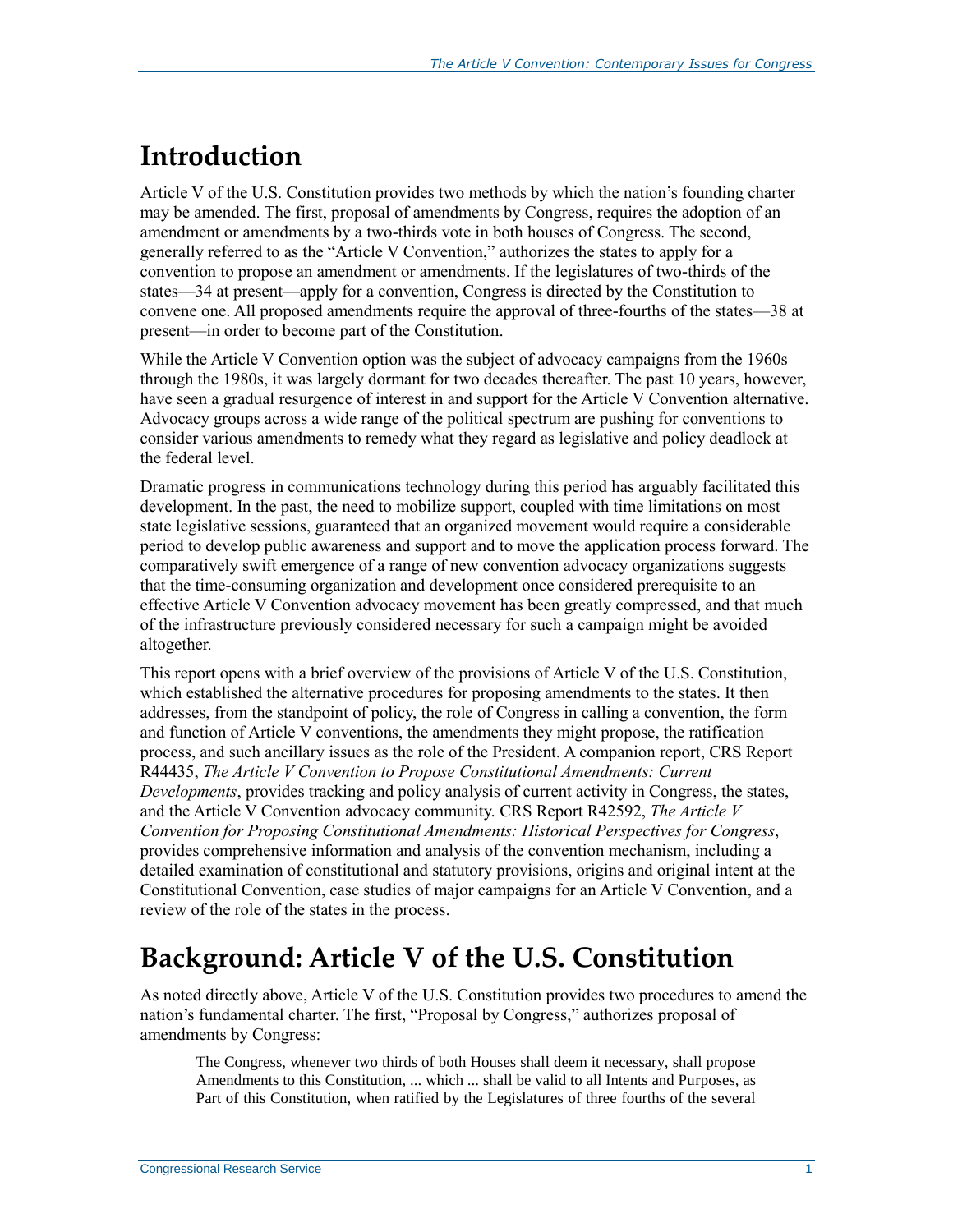## **Introduction**

Article V of the U.S. Constitution provides two methods by which the nation's founding charter may be amended. The first, proposal of amendments by Congress, requires the adoption of an amendment or amendments by a two-thirds vote in both houses of Congress. The second, generally referred to as the "Article V Convention," authorizes the states to apply for a convention to propose an amendment or amendments. If the legislatures of two-thirds of the states—34 at present—apply for a convention, Congress is directed by the Constitution to convene one. All proposed amendments require the approval of three-fourths of the states—38 at present—in order to become part of the Constitution.

While the Article V Convention option was the subject of advocacy campaigns from the 1960s through the 1980s, it was largely dormant for two decades thereafter. The past 10 years, however, have seen a gradual resurgence of interest in and support for the Article V Convention alternative. Advocacy groups across a wide range of the political spectrum are pushing for conventions to consider various amendments to remedy what they regard as legislative and policy deadlock at the federal level.

Dramatic progress in communications technology during this period has arguably facilitated this development. In the past, the need to mobilize support, coupled with time limitations on most state legislative sessions, guaranteed that an organized movement would require a considerable period to develop public awareness and support and to move the application process forward. The comparatively swift emergence of a range of new convention advocacy organizations suggests that the time-consuming organization and development once considered prerequisite to an effective Article V Convention advocacy movement has been greatly compressed, and that much of the infrastructure previously considered necessary for such a campaign might be avoided altogether.

This report opens with a brief overview of the provisions of Article V of the U.S. Constitution, which established the alternative procedures for proposing amendments to the states. It then addresses, from the standpoint of policy, the role of Congress in calling a convention, the form and function of Article V conventions, the amendments they might propose, the ratification process, and such ancillary issues as the role of the President. A companion report, CRS Report R44435, *The Article V Convention to Propose Constitutional Amendments: Current Developments*, provides tracking and policy analysis of current activity in Congress, the states, and the Article V Convention advocacy community. CRS Report R42592, *The Article V Convention for Proposing Constitutional Amendments: Historical Perspectives for Congress*, provides comprehensive information and analysis of the convention mechanism, including a detailed examination of constitutional and statutory provisions, origins and original intent at the Constitutional Convention, case studies of major campaigns for an Article V Convention, and a review of the role of the states in the process.

## **Background: Article V of the U.S. Constitution**

As noted directly above, Article V of the U.S. Constitution provides two procedures to amend the nation's fundamental charter. The first, "Proposal by Congress," authorizes proposal of amendments by Congress:

The Congress, whenever two thirds of both Houses shall deem it necessary, shall propose Amendments to this Constitution, ... which ... shall be valid to all Intents and Purposes, as Part of this Constitution, when ratified by the Legislatures of three fourths of the several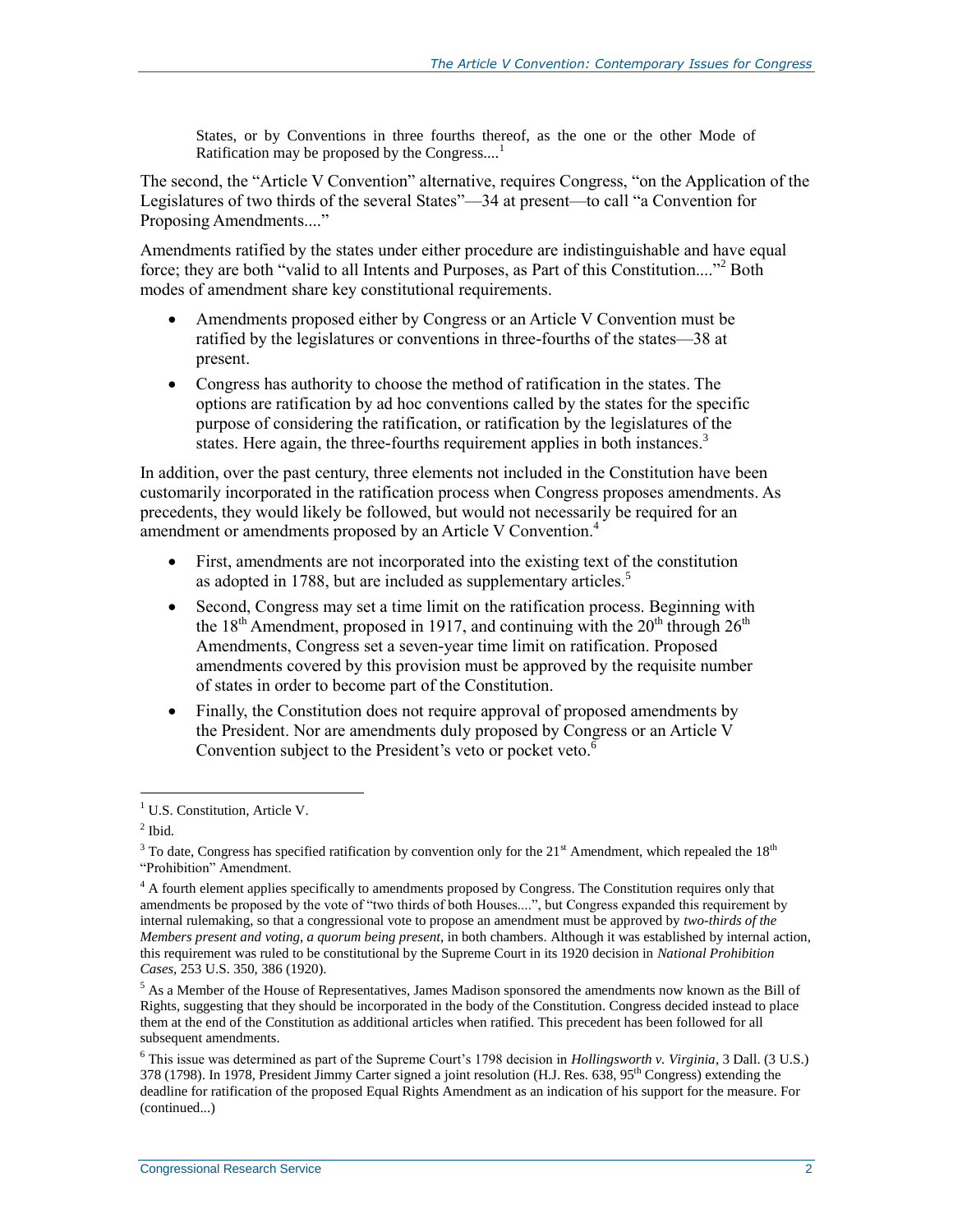States, or by Conventions in three fourths thereof, as the one or the other Mode of Ratification may be proposed by the Congress....<sup>1</sup>

The second, the "Article V Convention" alternative, requires Congress, "on the Application of the Legislatures of two thirds of the several States"—34 at present—to call "a Convention for Proposing Amendments...."

Amendments ratified by the states under either procedure are indistinguishable and have equal force; they are both "valid to all Intents and Purposes, as Part of this Constitution...."<sup>2</sup> Both modes of amendment share key constitutional requirements.

- Amendments proposed either by Congress or an Article V Convention must be ratified by the legislatures or conventions in three-fourths of the states—38 at present.
- Congress has authority to choose the method of ratification in the states. The options are ratification by ad hoc conventions called by the states for the specific purpose of considering the ratification, or ratification by the legislatures of the states. Here again, the three-fourths requirement applies in both instances.<sup>3</sup>

In addition, over the past century, three elements not included in the Constitution have been customarily incorporated in the ratification process when Congress proposes amendments. As precedents, they would likely be followed, but would not necessarily be required for an amendment or amendments proposed by an Article V Convention.<sup>4</sup>

- First, amendments are not incorporated into the existing text of the constitution as adopted in 1788, but are included as supplementary articles.<sup>5</sup>
- Second, Congress may set a time limit on the ratification process. Beginning with the  $18<sup>th</sup>$  Amendment, proposed in 1917, and continuing with the  $20<sup>th</sup>$  through  $26<sup>th</sup>$ Amendments, Congress set a seven-year time limit on ratification. Proposed amendments covered by this provision must be approved by the requisite number of states in order to become part of the Constitution.
- Finally, the Constitution does not require approval of proposed amendments by the President. Nor are amendments duly proposed by Congress or an Article V Convention subject to the President's veto or pocket veto.<sup> $6$ </sup>

<sup>&</sup>lt;sup>1</sup> U.S. Constitution, Article V.

 $<sup>2</sup>$  Ibid.</sup>

<sup>&</sup>lt;sup>3</sup> To date, Congress has specified ratification by convention only for the 21<sup>st</sup> Amendment, which repealed the 18<sup>th</sup> "Prohibition" Amendment.

<sup>&</sup>lt;sup>4</sup> A fourth element applies specifically to amendments proposed by Congress. The Constitution requires only that amendments be proposed by the vote of "two thirds of both Houses....", but Congress expanded this requirement by internal rulemaking, so that a congressional vote to propose an amendment must be approved by *two-thirds of the Members present and voting, a quorum being present*, in both chambers. Although it was established by internal action, this requirement was ruled to be constitutional by the Supreme Court in its 1920 decision in *National Prohibition Cases,* 253 U.S. 350, 386 (1920).

<sup>5</sup> As a Member of the House of Representatives, James Madison sponsored the amendments now known as the Bill of Rights, suggesting that they should be incorporated in the body of the Constitution. Congress decided instead to place them at the end of the Constitution as additional articles when ratified. This precedent has been followed for all subsequent amendments.

<sup>6</sup> This issue was determined as part of the Supreme Court's 1798 decision in *Hollingsworth v. Virginia*, 3 Dall. (3 U.S.) 378 (1798). In 1978, President Jimmy Carter signed a joint resolution (H.J. Res. 638, 95th Congress) extending the deadline for ratification of the proposed Equal Rights Amendment as an indication of his support for the measure. For (continued...)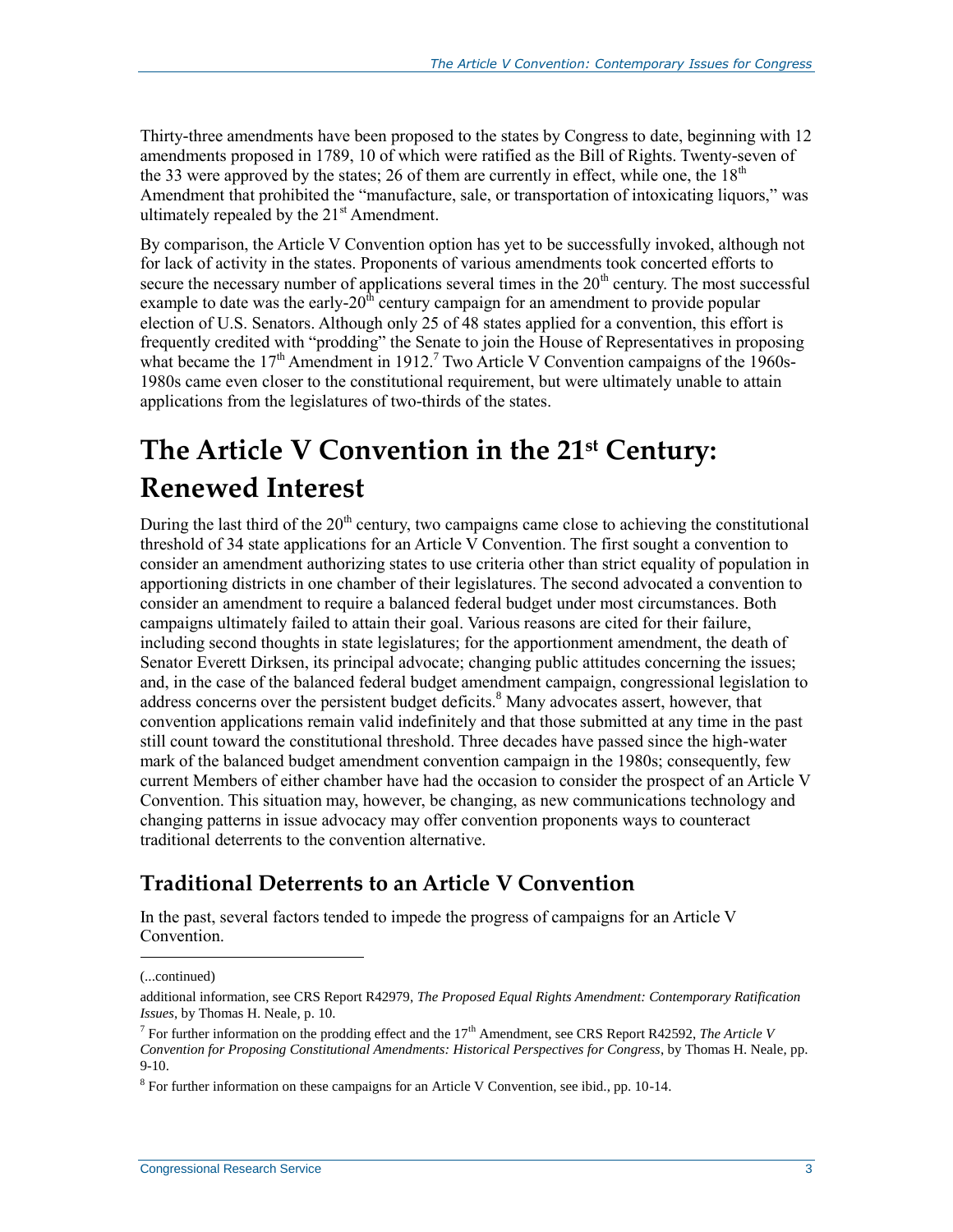Thirty-three amendments have been proposed to the states by Congress to date, beginning with 12 amendments proposed in 1789, 10 of which were ratified as the Bill of Rights. Twenty-seven of the 33 were approved by the states; 26 of them are currently in effect, while one, the  $18<sup>th</sup>$ Amendment that prohibited the "manufacture, sale, or transportation of intoxicating liquors," was ultimately repealed by the  $21<sup>st</sup>$  Amendment.

By comparison, the Article V Convention option has yet to be successfully invoked, although not for lack of activity in the states. Proponents of various amendments took concerted efforts to secure the necessary number of applications several times in the  $20<sup>th</sup>$  century. The most successful example to date was the early- $20<sup>th</sup>$  century campaign for an amendment to provide popular election of U.S. Senators. Although only 25 of 48 states applied for a convention, this effort is frequently credited with "prodding" the Senate to join the House of Representatives in proposing what became the  $17<sup>th</sup>$  Amendment in 1912.<sup>7</sup> Two Article V Convention campaigns of the 1960s-1980s came even closer to the constitutional requirement, but were ultimately unable to attain applications from the legislatures of two-thirds of the states.

## **The Article V Convention in the 21st Century: Renewed Interest**

During the last third of the  $20<sup>th</sup>$  century, two campaigns came close to achieving the constitutional threshold of 34 state applications for an Article V Convention. The first sought a convention to consider an amendment authorizing states to use criteria other than strict equality of population in apportioning districts in one chamber of their legislatures. The second advocated a convention to consider an amendment to require a balanced federal budget under most circumstances. Both campaigns ultimately failed to attain their goal. Various reasons are cited for their failure, including second thoughts in state legislatures; for the apportionment amendment, the death of Senator Everett Dirksen, its principal advocate; changing public attitudes concerning the issues; and, in the case of the balanced federal budget amendment campaign, congressional legislation to address concerns over the persistent budget deficits.<sup>8</sup> Many advocates assert, however, that convention applications remain valid indefinitely and that those submitted at any time in the past still count toward the constitutional threshold. Three decades have passed since the high-water mark of the balanced budget amendment convention campaign in the 1980s; consequently, few current Members of either chamber have had the occasion to consider the prospect of an Article V Convention. This situation may, however, be changing, as new communications technology and changing patterns in issue advocacy may offer convention proponents ways to counteract traditional deterrents to the convention alternative.

## **Traditional Deterrents to an Article V Convention**

In the past, several factors tended to impede the progress of campaigns for an Article V Convention.

<sup>(...</sup>continued)

additional information, see CRS Report R42979, *The Proposed Equal Rights Amendment: Contemporary Ratification Issues*, by Thomas H. Neale, p. 10.

<sup>&</sup>lt;sup>7</sup> For further information on the prodding effect and the  $17<sup>th</sup>$  Amendment, see CRS Report R42592, *The Article V Convention for Proposing Constitutional Amendments: Historical Perspectives for Congress*, by Thomas H. Neale, pp. 9-10.

 $8$  For further information on these campaigns for an Article V Convention, see ibid., pp. 10-14.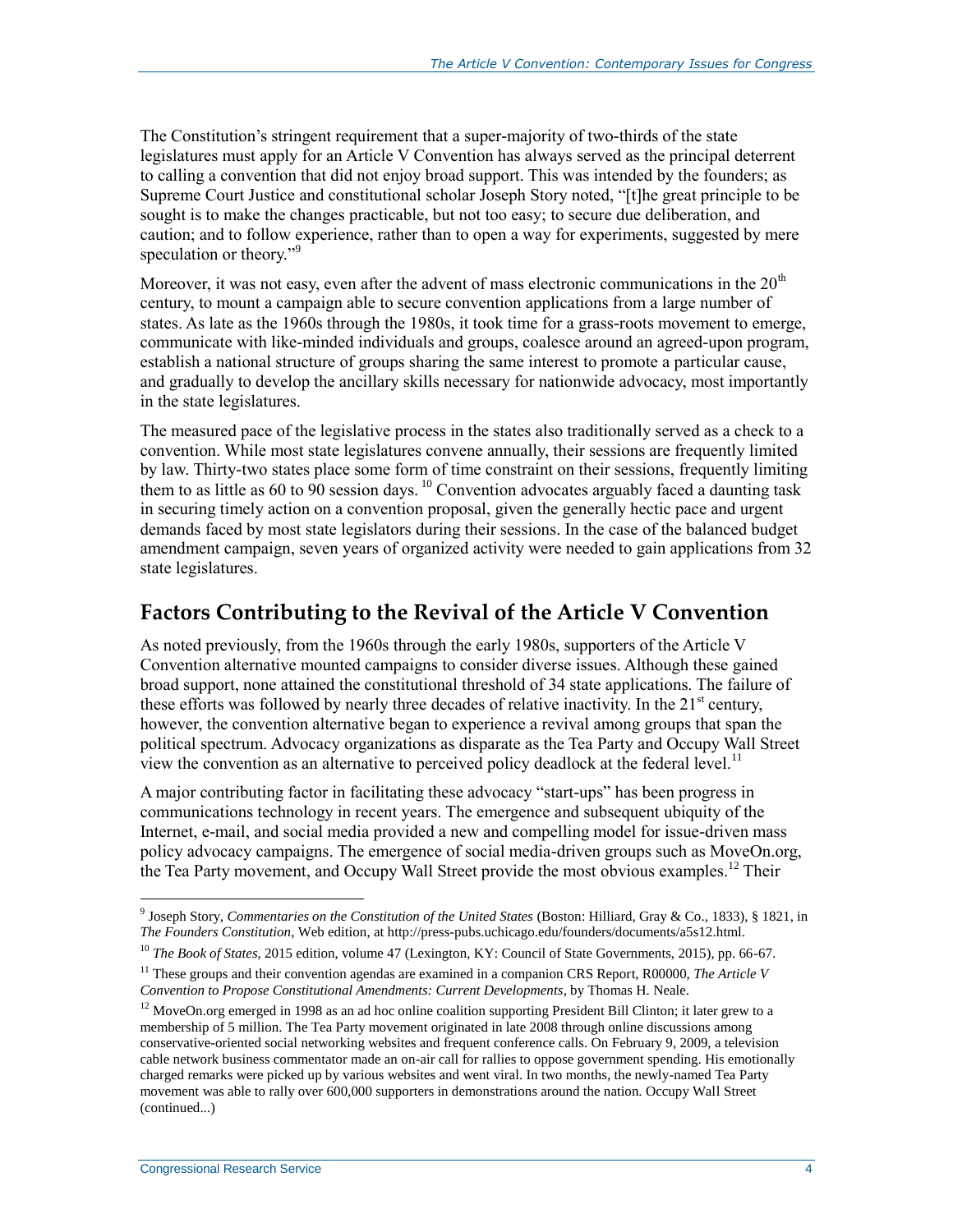The Constitution's stringent requirement that a super-majority of two-thirds of the state legislatures must apply for an Article V Convention has always served as the principal deterrent to calling a convention that did not enjoy broad support. This was intended by the founders; as Supreme Court Justice and constitutional scholar Joseph Story noted, "[t]he great principle to be sought is to make the changes practicable, but not too easy; to secure due deliberation, and caution; and to follow experience, rather than to open a way for experiments, suggested by mere speculation or theory."<sup>9</sup>

Moreover, it was not easy, even after the advent of mass electronic communications in the  $20<sup>th</sup>$ century, to mount a campaign able to secure convention applications from a large number of states. As late as the 1960s through the 1980s, it took time for a grass-roots movement to emerge, communicate with like-minded individuals and groups, coalesce around an agreed-upon program, establish a national structure of groups sharing the same interest to promote a particular cause, and gradually to develop the ancillary skills necessary for nationwide advocacy, most importantly in the state legislatures.

The measured pace of the legislative process in the states also traditionally served as a check to a convention. While most state legislatures convene annually, their sessions are frequently limited by law. Thirty-two states place some form of time constraint on their sessions, frequently limiting them to as little as 60 to 90 session days. <sup>10</sup> Convention advocates arguably faced a daunting task in securing timely action on a convention proposal, given the generally hectic pace and urgent demands faced by most state legislators during their sessions. In the case of the balanced budget amendment campaign, seven years of organized activity were needed to gain applications from 32 state legislatures.

#### **Factors Contributing to the Revival of the Article V Convention**

As noted previously, from the 1960s through the early 1980s, supporters of the Article V Convention alternative mounted campaigns to consider diverse issues. Although these gained broad support, none attained the constitutional threshold of 34 state applications. The failure of these efforts was followed by nearly three decades of relative inactivity. In the  $21<sup>st</sup>$  century, however, the convention alternative began to experience a revival among groups that span the political spectrum. Advocacy organizations as disparate as the Tea Party and Occupy Wall Street view the convention as an alternative to perceived policy deadlock at the federal level.<sup>11</sup>

A major contributing factor in facilitating these advocacy "start-ups" has been progress in communications technology in recent years. The emergence and subsequent ubiquity of the Internet, e-mail, and social media provided a new and compelling model for issue-driven mass policy advocacy campaigns. The emergence of social media-driven groups such as MoveOn.org, the Tea Party movement, and Occupy Wall Street provide the most obvious examples.<sup>12</sup> Their

 9 Joseph Story, *Commentaries on the Constitution of the United States* (Boston: Hilliard, Gray & Co., 1833), § 1821, in *The Founders Constitution*, Web edition, at http://press-pubs.uchicago.edu/founders/documents/a5s12.html.

<sup>&</sup>lt;sup>10</sup> *The Book of States*, 2015 edition, volume 47 (Lexington, KY: Council of State Governments, 2015), pp. 66-67.

<sup>&</sup>lt;sup>11</sup> These groups and their convention agendas are examined in a companion CRS Report, R00000, *The Article V Convention to Propose Constitutional Amendments: Current Developments*, by Thomas H. Neale.

 $12$  MoveOn.org emerged in 1998 as an ad hoc online coalition supporting President Bill Clinton; it later grew to a membership of 5 million. The Tea Party movement originated in late 2008 through online discussions among conservative-oriented social networking websites and frequent conference calls. On February 9, 2009, a television cable network business commentator made an on-air call for rallies to oppose government spending. His emotionally charged remarks were picked up by various websites and went viral. In two months, the newly-named Tea Party movement was able to rally over 600,000 supporters in demonstrations around the nation. Occupy Wall Street (continued...)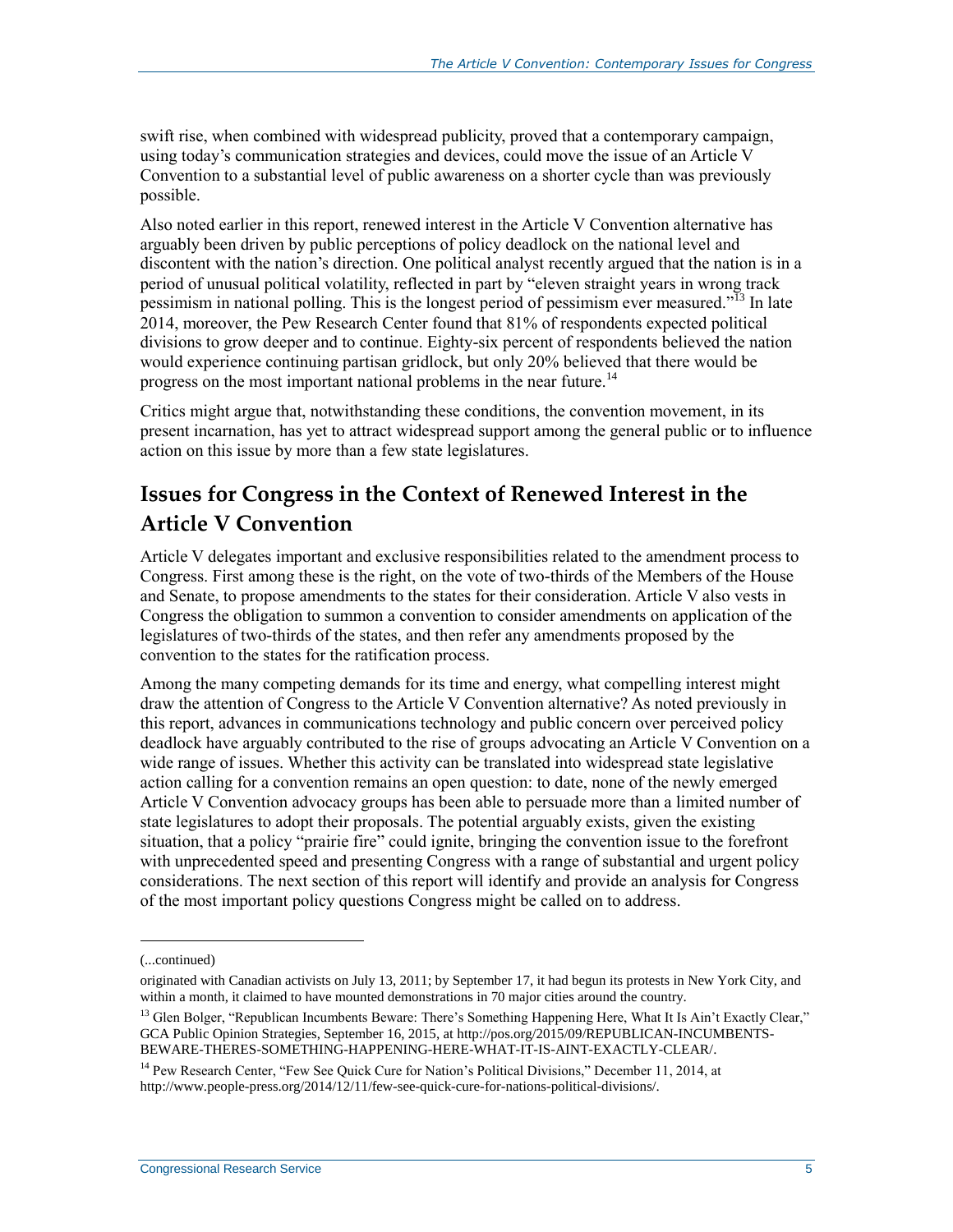swift rise, when combined with widespread publicity, proved that a contemporary campaign, using today's communication strategies and devices, could move the issue of an Article V Convention to a substantial level of public awareness on a shorter cycle than was previously possible.

Also noted earlier in this report, renewed interest in the Article V Convention alternative has arguably been driven by public perceptions of policy deadlock on the national level and discontent with the nation's direction. One political analyst recently argued that the nation is in a period of unusual political volatility, reflected in part by "eleven straight years in wrong track pessimism in national polling. This is the longest period of pessimism ever measured."<sup>13</sup> In late 2014, moreover, the Pew Research Center found that 81% of respondents expected political divisions to grow deeper and to continue. Eighty-six percent of respondents believed the nation would experience continuing partisan gridlock, but only 20% believed that there would be progress on the most important national problems in the near future.<sup>14</sup>

Critics might argue that, notwithstanding these conditions, the convention movement, in its present incarnation, has yet to attract widespread support among the general public or to influence action on this issue by more than a few state legislatures.

## **Issues for Congress in the Context of Renewed Interest in the Article V Convention**

Article V delegates important and exclusive responsibilities related to the amendment process to Congress. First among these is the right, on the vote of two-thirds of the Members of the House and Senate, to propose amendments to the states for their consideration. Article V also vests in Congress the obligation to summon a convention to consider amendments on application of the legislatures of two-thirds of the states, and then refer any amendments proposed by the convention to the states for the ratification process.

Among the many competing demands for its time and energy, what compelling interest might draw the attention of Congress to the Article V Convention alternative? As noted previously in this report, advances in communications technology and public concern over perceived policy deadlock have arguably contributed to the rise of groups advocating an Article V Convention on a wide range of issues. Whether this activity can be translated into widespread state legislative action calling for a convention remains an open question: to date, none of the newly emerged Article V Convention advocacy groups has been able to persuade more than a limited number of state legislatures to adopt their proposals. The potential arguably exists, given the existing situation, that a policy "prairie fire" could ignite, bringing the convention issue to the forefront with unprecedented speed and presenting Congress with a range of substantial and urgent policy considerations. The next section of this report will identify and provide an analysis for Congress of the most important policy questions Congress might be called on to address.

l

<sup>(...</sup>continued)

originated with Canadian activists on July 13, 2011; by September 17, it had begun its protests in New York City, and within a month, it claimed to have mounted demonstrations in 70 major cities around the country.

<sup>&</sup>lt;sup>13</sup> Glen Bolger, "Republican Incumbents Beware: There's Something Happening Here, What It Is Ain't Exactly Clear," GCA Public Opinion Strategies, September 16, 2015, at http://pos.org/2015/09/REPUBLICAN-INCUMBENTS-BEWARE-THERES-SOMETHING-HAPPENING-HERE-WHAT-IT-IS-AINT-EXACTLY-CLEAR/.

<sup>&</sup>lt;sup>14</sup> Pew Research Center, "Few See Quick Cure for Nation's Political Divisions," December 11, 2014, at http://www.people-press.org/2014/12/11/few-see-quick-cure-for-nations-political-divisions/.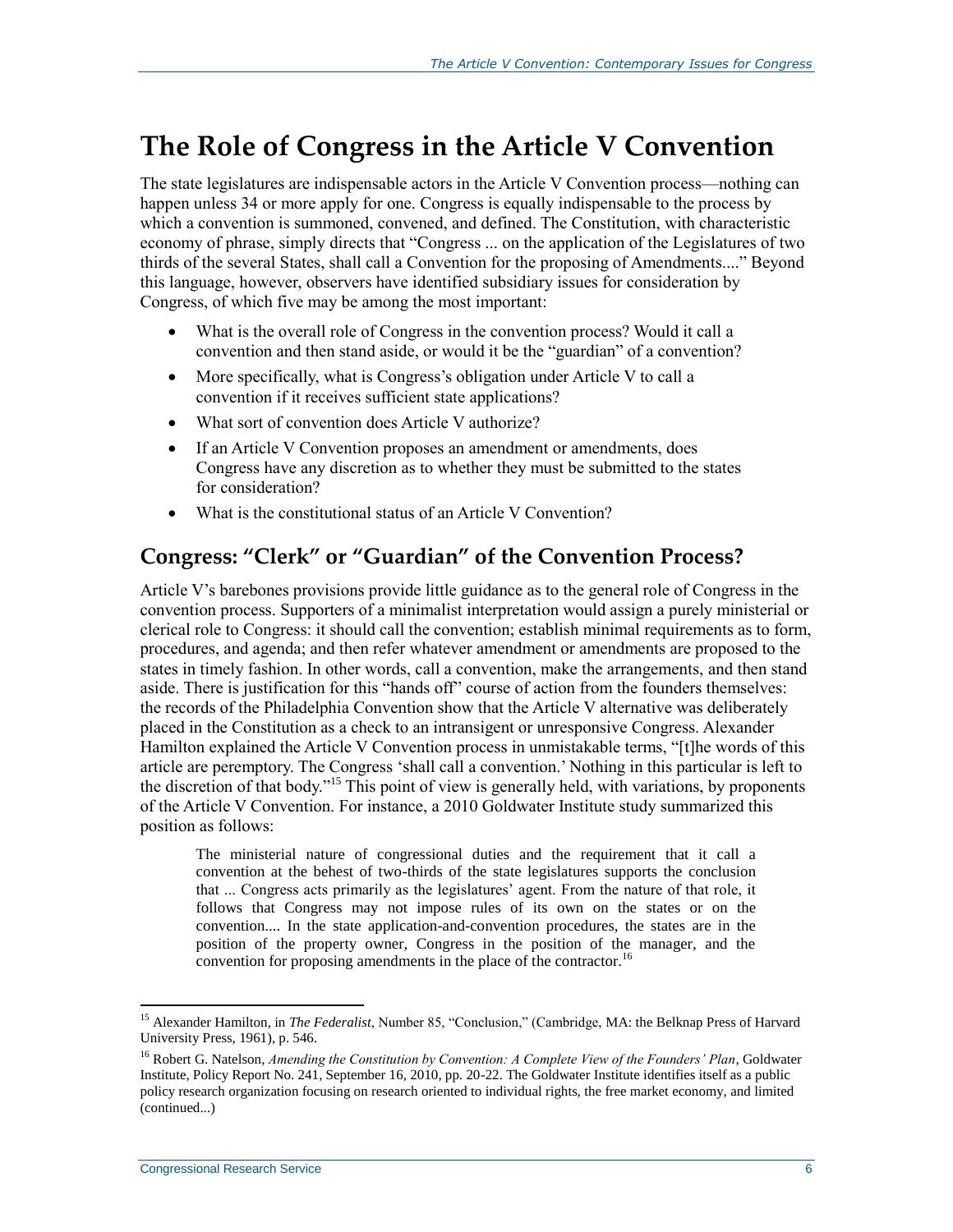## **The Role of Congress in the Article V Convention**

The state legislatures are indispensable actors in the Article V Convention process—nothing can happen unless 34 or more apply for one. Congress is equally indispensable to the process by which a convention is summoned, convened, and defined. The Constitution, with characteristic economy of phrase, simply directs that "Congress ... on the application of the Legislatures of two thirds of the several States, shall call a Convention for the proposing of Amendments...." Beyond this language, however, observers have identified subsidiary issues for consideration by Congress, of which five may be among the most important:

- What is the overall role of Congress in the convention process? Would it call a convention and then stand aside, or would it be the "guardian" of a convention?
- More specifically, what is Congress's obligation under Article V to call a convention if it receives sufficient state applications?
- What sort of convention does Article V authorize?
- If an Article V Convention proposes an amendment or amendments, does Congress have any discretion as to whether they must be submitted to the states for consideration?
- What is the constitutional status of an Article V Convention?

### **Congress: "Clerk" or "Guardian" of the Convention Process?**

Article V's barebones provisions provide little guidance as to the general role of Congress in the convention process. Supporters of a minimalist interpretation would assign a purely ministerial or clerical role to Congress: it should call the convention; establish minimal requirements as to form, procedures, and agenda; and then refer whatever amendment or amendments are proposed to the states in timely fashion. In other words, call a convention, make the arrangements, and then stand aside. There is justification for this "hands off" course of action from the founders themselves: the records of the Philadelphia Convention show that the Article V alternative was deliberately placed in the Constitution as a check to an intransigent or unresponsive Congress. Alexander Hamilton explained the Article V Convention process in unmistakable terms, "[t]he words of this article are peremptory. The Congress 'shall call a convention.' Nothing in this particular is left to the discretion of that body."<sup>15</sup> This point of view is generally held, with variations, by proponents of the Article V Convention. For instance, a 2010 Goldwater Institute study summarized this position as follows:

The ministerial nature of congressional duties and the requirement that it call a convention at the behest of two-thirds of the state legislatures supports the conclusion that ... Congress acts primarily as the legislatures' agent. From the nature of that role, it follows that Congress may not impose rules of its own on the states or on the convention.... In the state application-and-convention procedures, the states are in the position of the property owner, Congress in the position of the manager, and the convention for proposing amendments in the place of the contractor.<sup>16</sup>

 $\overline{a}$ <sup>15</sup> Alexander Hamilton, in *The Federalist*, Number 85, "Conclusion," (Cambridge, MA: the Belknap Press of Harvard University Press, 1961), p. 546.

<sup>16</sup> Robert G. Natelson, *Amending the Constitution by Convention: A Complete View of the Founders' Plan*, Goldwater Institute, Policy Report No. 241, September 16, 2010, pp. 20-22. The Goldwater Institute identifies itself as a public policy research organization focusing on research oriented to individual rights, the free market economy, and limited (continued...)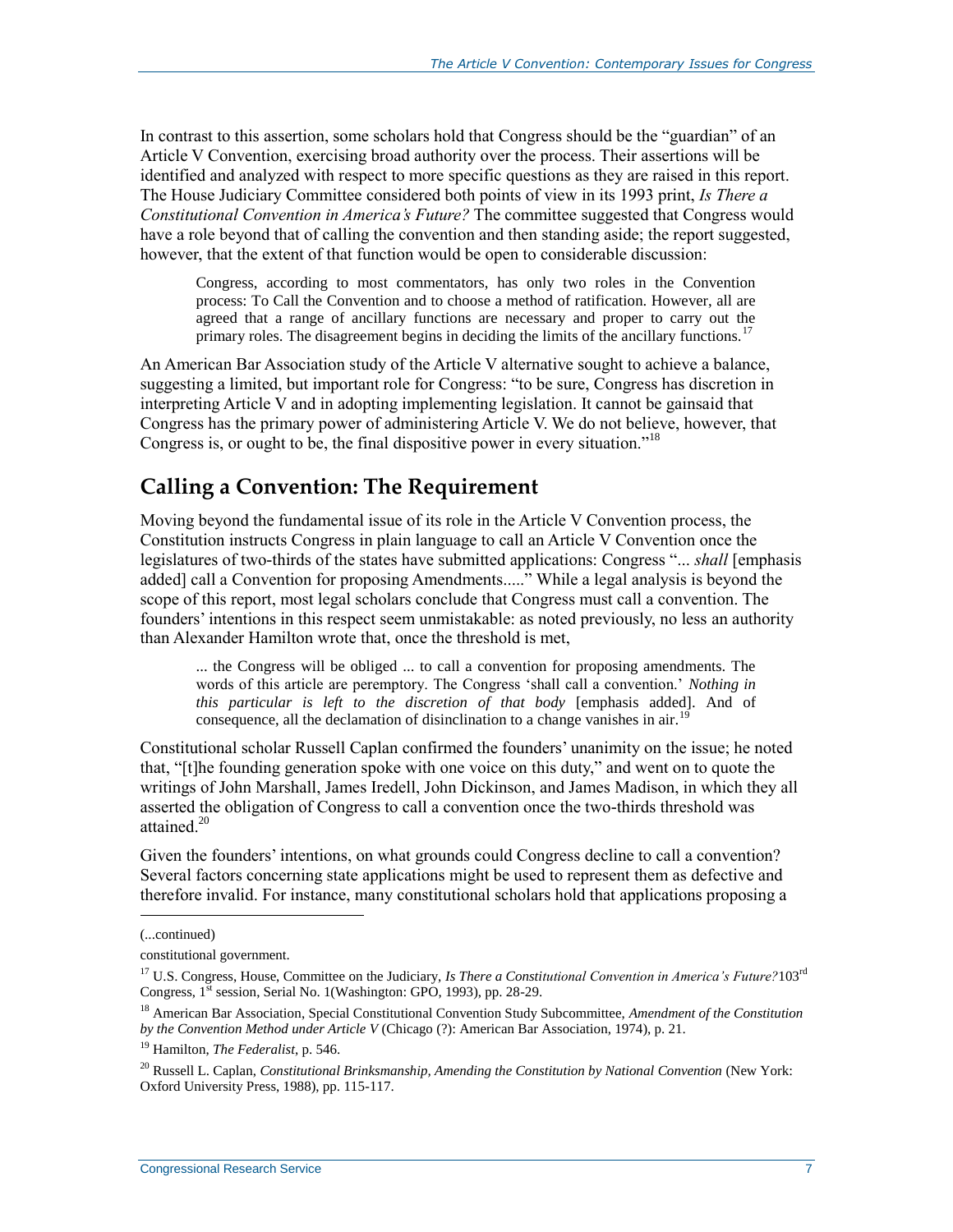In contrast to this assertion, some scholars hold that Congress should be the "guardian" of an Article V Convention, exercising broad authority over the process. Their assertions will be identified and analyzed with respect to more specific questions as they are raised in this report. The House Judiciary Committee considered both points of view in its 1993 print, *Is There a Constitutional Convention in America's Future?* The committee suggested that Congress would have a role beyond that of calling the convention and then standing aside; the report suggested, however, that the extent of that function would be open to considerable discussion:

Congress, according to most commentators, has only two roles in the Convention process: To Call the Convention and to choose a method of ratification. However, all are agreed that a range of ancillary functions are necessary and proper to carry out the primary roles. The disagreement begins in deciding the limits of the ancillary functions.<sup>17</sup>

An American Bar Association study of the Article V alternative sought to achieve a balance, suggesting a limited, but important role for Congress: "to be sure, Congress has discretion in interpreting Article V and in adopting implementing legislation. It cannot be gainsaid that Congress has the primary power of administering Article V. We do not believe, however, that Congress is, or ought to be, the final dispositive power in every situation."<sup>18</sup>

## **Calling a Convention: The Requirement**

Moving beyond the fundamental issue of its role in the Article V Convention process, the Constitution instructs Congress in plain language to call an Article V Convention once the legislatures of two-thirds of the states have submitted applications: Congress "... *shall* [emphasis added] call a Convention for proposing Amendments....." While a legal analysis is beyond the scope of this report, most legal scholars conclude that Congress must call a convention. The founders' intentions in this respect seem unmistakable: as noted previously, no less an authority than Alexander Hamilton wrote that, once the threshold is met,

... the Congress will be obliged ... to call a convention for proposing amendments. The words of this article are peremptory. The Congress 'shall call a convention.' *Nothing in this particular is left to the discretion of that body* [emphasis added]. And of consequence, all the declamation of disinclination to a change vanishes in air.<sup>19</sup>

Constitutional scholar Russell Caplan confirmed the founders' unanimity on the issue; he noted that, "[t]he founding generation spoke with one voice on this duty," and went on to quote the writings of John Marshall, James Iredell, John Dickinson, and James Madison, in which they all asserted the obligation of Congress to call a convention once the two-thirds threshold was attained.<sup>20</sup>

Given the founders' intentions, on what grounds could Congress decline to call a convention? Several factors concerning state applications might be used to represent them as defective and therefore invalid. For instance, many constitutional scholars hold that applications proposing a

l

<sup>(...</sup>continued)

constitutional government.

<sup>&</sup>lt;sup>17</sup> U.S. Congress, House, Committee on the Judiciary, *Is There a Constitutional Convention in America's Future*?103<sup>rd</sup> Congress, 1<sup>st</sup> session, Serial No. 1(Washington: GPO, 1993), pp. 28-29.

<sup>18</sup> American Bar Association, Special Constitutional Convention Study Subcommittee, *Amendment of the Constitution by the Convention Method under Article V* (Chicago (?): American Bar Association, 1974), p. 21.

<sup>19</sup> Hamilton, *The Federalist*, p. 546.

<sup>20</sup> Russell L. Caplan, *Constitutional Brinksmanship, Amending the Constitution by National Convention* (New York: Oxford University Press, 1988), pp. 115-117.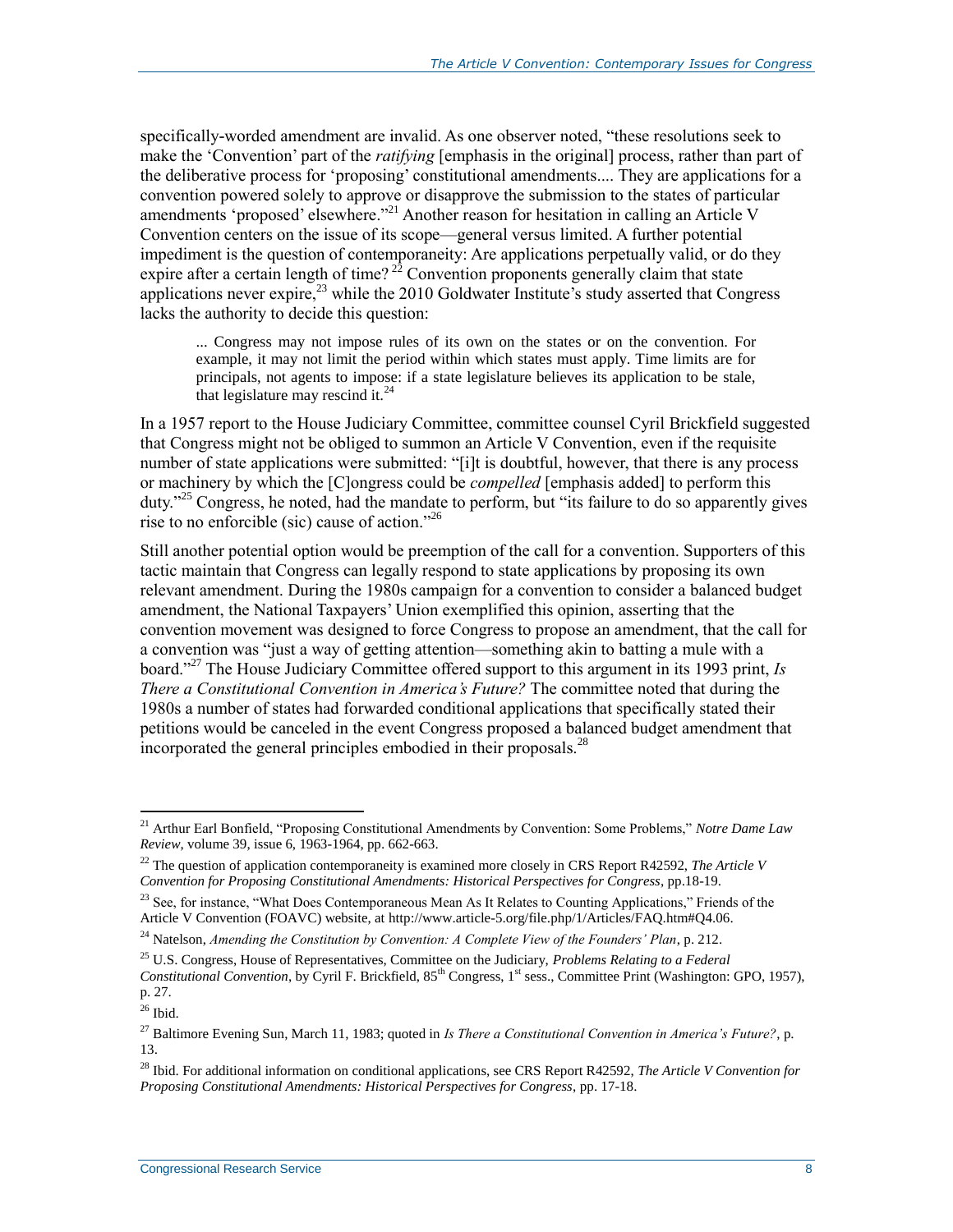specifically-worded amendment are invalid. As one observer noted, "these resolutions seek to make the 'Convention' part of the *ratifying* [emphasis in the original] process, rather than part of the deliberative process for 'proposing' constitutional amendments.... They are applications for a convention powered solely to approve or disapprove the submission to the states of particular amendments 'proposed' elsewhere."<sup>21</sup> Another reason for hesitation in calling an Article V Convention centers on the issue of its scope—general versus limited. A further potential impediment is the question of contemporaneity: Are applications perpetually valid, or do they expire after a certain length of time?  $2^{22}$  Convention proponents generally claim that state applications never expire,  $23$  while the 2010 Goldwater Institute's study asserted that Congress lacks the authority to decide this question:

... Congress may not impose rules of its own on the states or on the convention. For example, it may not limit the period within which states must apply. Time limits are for principals, not agents to impose: if a state legislature believes its application to be stale, that legislature may rescind it.<sup>24</sup>

In a 1957 report to the House Judiciary Committee, committee counsel Cyril Brickfield suggested that Congress might not be obliged to summon an Article V Convention, even if the requisite number of state applications were submitted: "[i]t is doubtful, however, that there is any process or machinery by which the [C]ongress could be *compelled* [emphasis added] to perform this duty."<sup>25</sup> Congress, he noted, had the mandate to perform, but "its failure to do so apparently gives rise to no enforcible (sic) cause of action."<sup>26</sup>

Still another potential option would be preemption of the call for a convention. Supporters of this tactic maintain that Congress can legally respond to state applications by proposing its own relevant amendment. During the 1980s campaign for a convention to consider a balanced budget amendment, the National Taxpayers' Union exemplified this opinion, asserting that the convention movement was designed to force Congress to propose an amendment, that the call for a convention was "just a way of getting attention—something akin to batting a mule with a board."<sup>27</sup> The House Judiciary Committee offered support to this argument in its 1993 print, *Is There a Constitutional Convention in America's Future?* The committee noted that during the 1980s a number of states had forwarded conditional applications that specifically stated their petitions would be canceled in the event Congress proposed a balanced budget amendment that incorporated the general principles embodied in their proposals.<sup>28</sup>

 $\overline{a}$ <sup>21</sup> Arthur Earl Bonfield, "Proposing Constitutional Amendments by Convention: Some Problems," *Notre Dame Law Review*, volume 39, issue 6, 1963-1964, pp. 662-663.

<sup>&</sup>lt;sup>22</sup> The question of application contemporaneity is examined more closely in CRS Report R42592, *The Article V Convention for Proposing Constitutional Amendments: Historical Perspectives for Congress*, pp.18-19.

<sup>&</sup>lt;sup>23</sup> See, for instance, "What Does Contemporaneous Mean As It Relates to Counting Applications," Friends of the Article V Convention (FOAVC) website, at http://www.article-5.org/file.php/1/Articles/FAQ.htm#Q4.06.

<sup>24</sup> Natelson, *Amending the Constitution by Convention: A Complete View of the Founders' Plan*, p. 212.

<sup>25</sup> U.S. Congress, House of Representatives, Committee on the Judiciary, *Problems Relating to a Federal Constitutional Convention*, by Cyril F. Brickfield, 85<sup>th</sup> Congress, 1<sup>st</sup> sess., Committee Print (Washington: GPO, 1957), p. 27.

 $26$  Ibid.

<sup>27</sup> Baltimore Evening Sun, March 11, 1983; quoted in *Is There a Constitutional Convention in America's Future?*, p. 13.

<sup>28</sup> Ibid. For additional information on conditional applications, see CRS Report R42592, *The Article V Convention for Proposing Constitutional Amendments: Historical Perspectives for Congress*, pp. 17-18.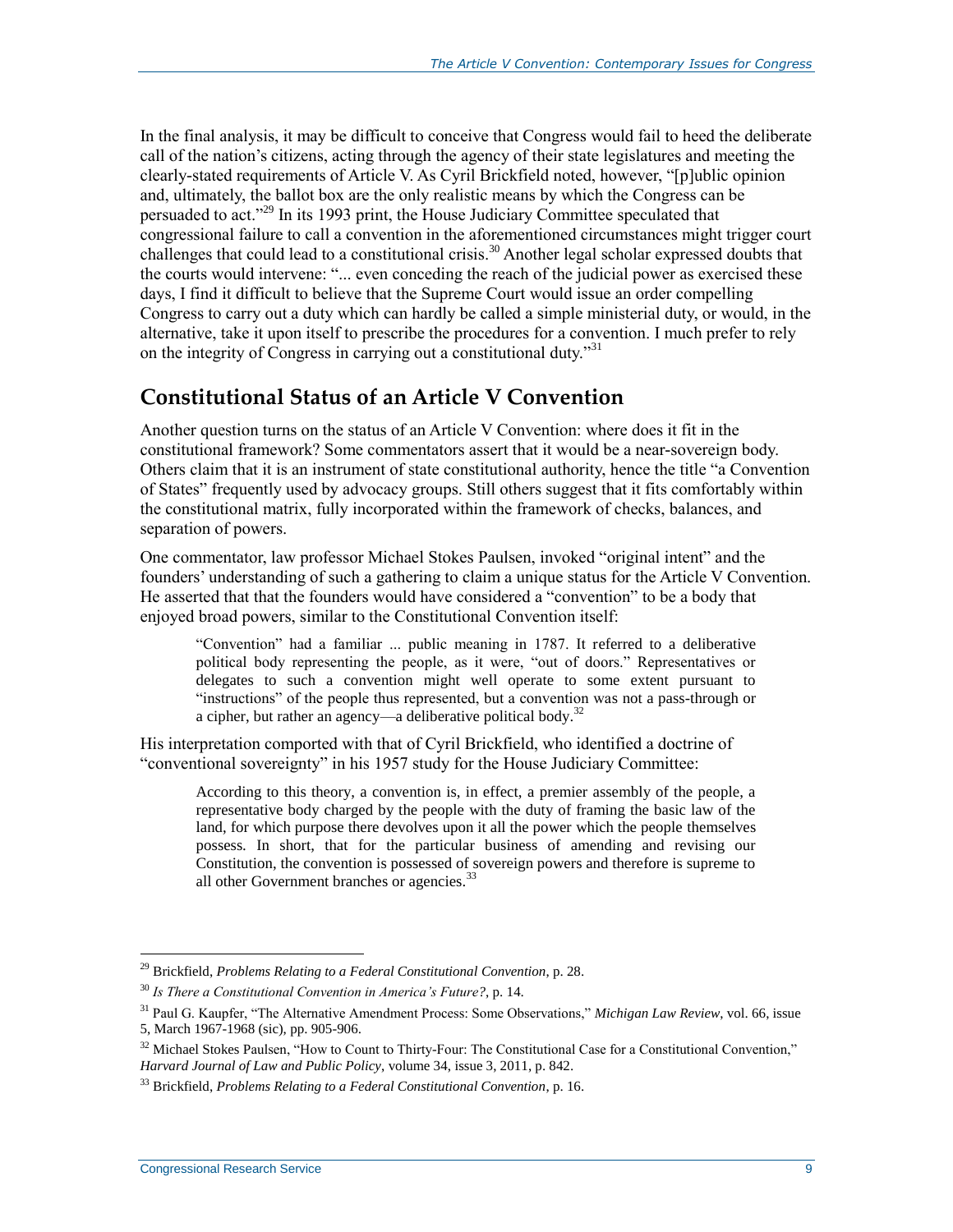In the final analysis, it may be difficult to conceive that Congress would fail to heed the deliberate call of the nation's citizens, acting through the agency of their state legislatures and meeting the clearly-stated requirements of Article V. As Cyril Brickfield noted, however, "[p]ublic opinion and, ultimately, the ballot box are the only realistic means by which the Congress can be persuaded to act."<sup>29</sup> In its 1993 print, the House Judiciary Committee speculated that congressional failure to call a convention in the aforementioned circumstances might trigger court challenges that could lead to a constitutional crisis.<sup>30</sup> Another legal scholar expressed doubts that the courts would intervene: "... even conceding the reach of the judicial power as exercised these days, I find it difficult to believe that the Supreme Court would issue an order compelling Congress to carry out a duty which can hardly be called a simple ministerial duty, or would, in the alternative, take it upon itself to prescribe the procedures for a convention. I much prefer to rely on the integrity of Congress in carrying out a constitutional duty."<sup>31</sup>

### **Constitutional Status of an Article V Convention**

Another question turns on the status of an Article V Convention: where does it fit in the constitutional framework? Some commentators assert that it would be a near-sovereign body. Others claim that it is an instrument of state constitutional authority, hence the title "a Convention of States" frequently used by advocacy groups. Still others suggest that it fits comfortably within the constitutional matrix, fully incorporated within the framework of checks, balances, and separation of powers.

One commentator, law professor Michael Stokes Paulsen, invoked "original intent" and the founders' understanding of such a gathering to claim a unique status for the Article V Convention. He asserted that that the founders would have considered a "convention" to be a body that enjoyed broad powers, similar to the Constitutional Convention itself:

"Convention" had a familiar ... public meaning in 1787. It referred to a deliberative political body representing the people, as it were, "out of doors." Representatives or delegates to such a convention might well operate to some extent pursuant to "instructions" of the people thus represented, but a convention was not a pass-through or a cipher, but rather an agency—a deliberative political body.<sup>32</sup>

His interpretation comported with that of Cyril Brickfield, who identified a doctrine of "conventional sovereignty" in his 1957 study for the House Judiciary Committee:

According to this theory, a convention is, in effect, a premier assembly of the people, a representative body charged by the people with the duty of framing the basic law of the land, for which purpose there devolves upon it all the power which the people themselves possess. In short, that for the particular business of amending and revising our Constitution, the convention is possessed of sovereign powers and therefore is supreme to all other Government branches or agencies.<sup>33</sup>

<sup>29</sup> Brickfield, *Problems Relating to a Federal Constitutional Convention*, p. 28.

<sup>30</sup> *Is There a Constitutional Convention in America's Future?*, p. 14.

<sup>31</sup> Paul G. Kaupfer, "The Alternative Amendment Process: Some Observations," *Michigan Law Review*, vol. 66, issue 5, March 1967-1968 (sic), pp. 905-906.

 $32$  Michael Stokes Paulsen, "How to Count to Thirty-Four: The Constitutional Case for a Constitutional Convention," *Harvard Journal of Law and Public Policy*, volume 34, issue 3, 2011, p. 842.

<sup>33</sup> Brickfield, *Problems Relating to a Federal Constitutional Convention*, p. 16.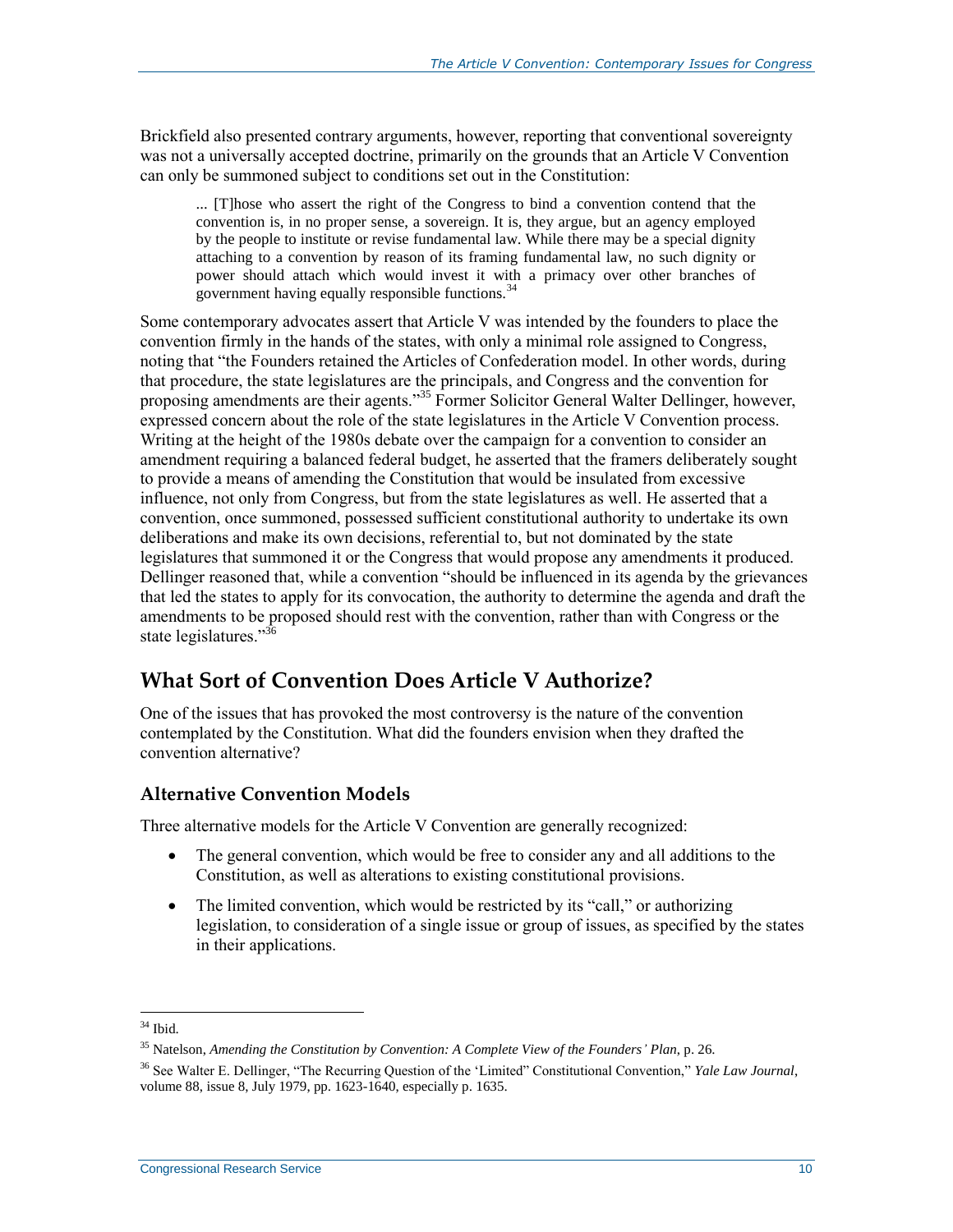Brickfield also presented contrary arguments, however, reporting that conventional sovereignty was not a universally accepted doctrine, primarily on the grounds that an Article V Convention can only be summoned subject to conditions set out in the Constitution:

... [T]hose who assert the right of the Congress to bind a convention contend that the convention is, in no proper sense, a sovereign. It is, they argue, but an agency employed by the people to institute or revise fundamental law. While there may be a special dignity attaching to a convention by reason of its framing fundamental law, no such dignity or power should attach which would invest it with a primacy over other branches of government having equally responsible functions.<sup>34</sup>

Some contemporary advocates assert that Article V was intended by the founders to place the convention firmly in the hands of the states, with only a minimal role assigned to Congress, noting that "the Founders retained the Articles of Confederation model. In other words, during that procedure, the state legislatures are the principals, and Congress and the convention for proposing amendments are their agents."<sup>35</sup> Former Solicitor General Walter Dellinger, however, expressed concern about the role of the state legislatures in the Article V Convention process. Writing at the height of the 1980s debate over the campaign for a convention to consider an amendment requiring a balanced federal budget, he asserted that the framers deliberately sought to provide a means of amending the Constitution that would be insulated from excessive influence, not only from Congress, but from the state legislatures as well. He asserted that a convention, once summoned, possessed sufficient constitutional authority to undertake its own deliberations and make its own decisions, referential to, but not dominated by the state legislatures that summoned it or the Congress that would propose any amendments it produced. Dellinger reasoned that, while a convention "should be influenced in its agenda by the grievances that led the states to apply for its convocation, the authority to determine the agenda and draft the amendments to be proposed should rest with the convention, rather than with Congress or the state legislatures."<sup>36</sup>

## **What Sort of Convention Does Article V Authorize?**

One of the issues that has provoked the most controversy is the nature of the convention contemplated by the Constitution. What did the founders envision when they drafted the convention alternative?

#### **Alternative Convention Models**

Three alternative models for the Article V Convention are generally recognized:

- The general convention, which would be free to consider any and all additions to the Constitution, as well as alterations to existing constitutional provisions.
- The limited convention, which would be restricted by its "call," or authorizing legislation, to consideration of a single issue or group of issues, as specified by the states in their applications.

 $34$  Ibid.

<sup>35</sup> Natelson, *Amending the Constitution by Convention: A Complete View of the Founders' Plan*, p. 26.

<sup>36</sup> See Walter E. Dellinger, "The Recurring Question of the 'Limited" Constitutional Convention," *Yale Law Journal*, volume 88, issue 8, July 1979, pp. 1623-1640, especially p. 1635.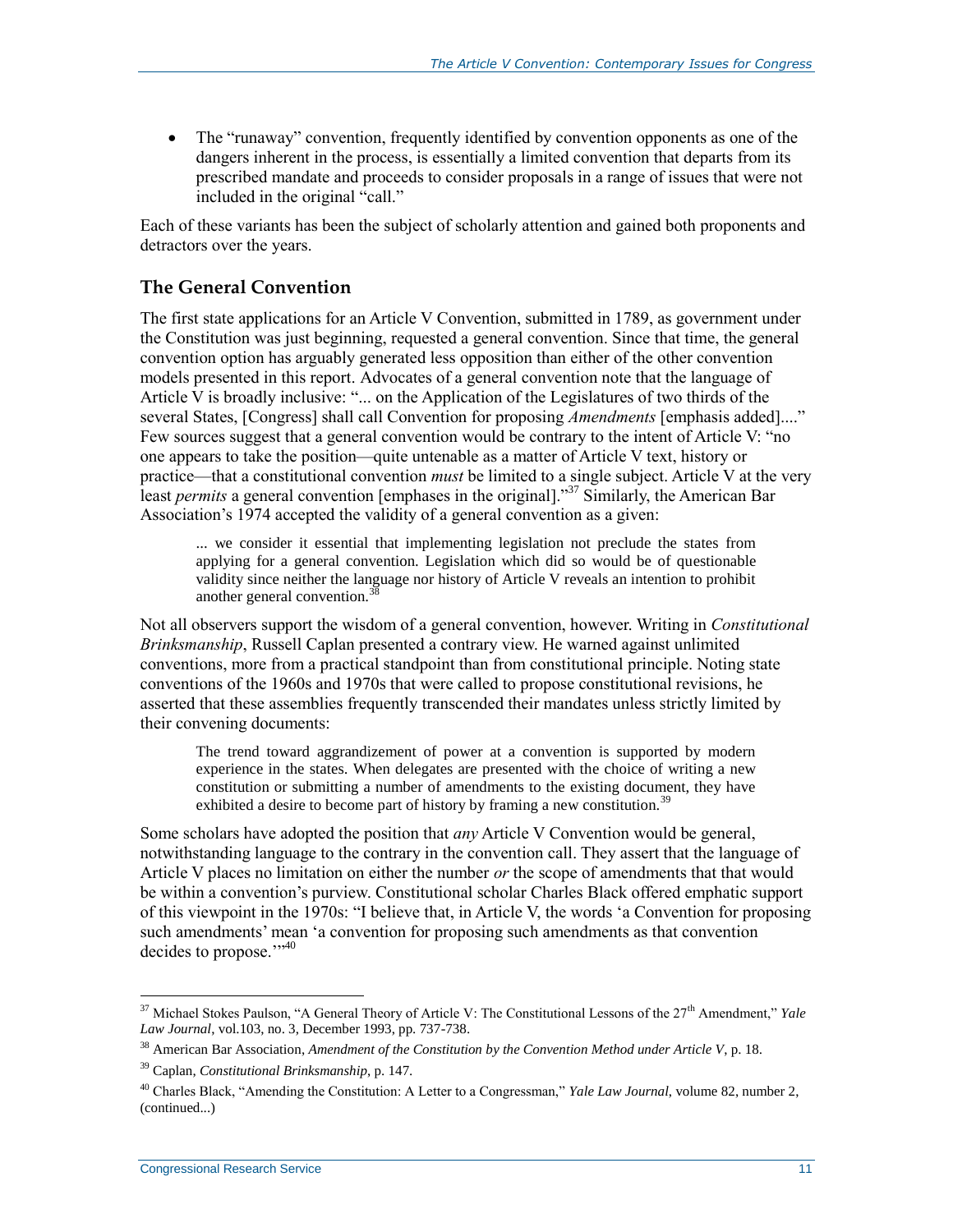• The "runaway" convention, frequently identified by convention opponents as one of the dangers inherent in the process, is essentially a limited convention that departs from its prescribed mandate and proceeds to consider proposals in a range of issues that were not included in the original "call."

Each of these variants has been the subject of scholarly attention and gained both proponents and detractors over the years.

#### **The General Convention**

The first state applications for an Article V Convention, submitted in 1789, as government under the Constitution was just beginning, requested a general convention. Since that time, the general convention option has arguably generated less opposition than either of the other convention models presented in this report. Advocates of a general convention note that the language of Article V is broadly inclusive: "... on the Application of the Legislatures of two thirds of the several States, [Congress] shall call Convention for proposing *Amendments* [emphasis added]...." Few sources suggest that a general convention would be contrary to the intent of Article V: "no one appears to take the position—quite untenable as a matter of Article V text, history or practice—that a constitutional convention *must* be limited to a single subject. Article V at the very least *permits* a general convention [emphases in the original]."<sup>37</sup> Similarly, the American Bar Association's 1974 accepted the validity of a general convention as a given:

... we consider it essential that implementing legislation not preclude the states from applying for a general convention. Legislation which did so would be of questionable validity since neither the language nor history of Article V reveals an intention to prohibit another general convention.<sup>3</sup>

Not all observers support the wisdom of a general convention, however. Writing in *Constitutional Brinksmanship*, Russell Caplan presented a contrary view. He warned against unlimited conventions, more from a practical standpoint than from constitutional principle. Noting state conventions of the 1960s and 1970s that were called to propose constitutional revisions, he asserted that these assemblies frequently transcended their mandates unless strictly limited by their convening documents:

The trend toward aggrandizement of power at a convention is supported by modern experience in the states. When delegates are presented with the choice of writing a new constitution or submitting a number of amendments to the existing document, they have exhibited a desire to become part of history by framing a new constitution.<sup>39</sup>

Some scholars have adopted the position that *any* Article V Convention would be general, notwithstanding language to the contrary in the convention call. They assert that the language of Article V places no limitation on either the number *or* the scope of amendments that that would be within a convention's purview. Constitutional scholar Charles Black offered emphatic support of this viewpoint in the 1970s: "I believe that, in Article V, the words 'a Convention for proposing such amendments' mean 'a convention for proposing such amendments as that convention decides to propose."<sup>340</sup>

<sup>&</sup>lt;sup>37</sup> Michael Stokes Paulson, "A General Theory of Article V: The Constitutional Lessons of the 27<sup>th</sup> Amendment," *Yale Law Journal*, vol.103, no. 3, December 1993, pp. 737-738.

<sup>38</sup> American Bar Association, *Amendment of the Constitution by the Convention Method under Article V*, p. 18.

<sup>39</sup> Caplan, *Constitutional Brinksmanship*, p. 147.

<sup>40</sup> Charles Black, "Amending the Constitution: A Letter to a Congressman," *Yale Law Journal*, volume 82, number 2, (continued...)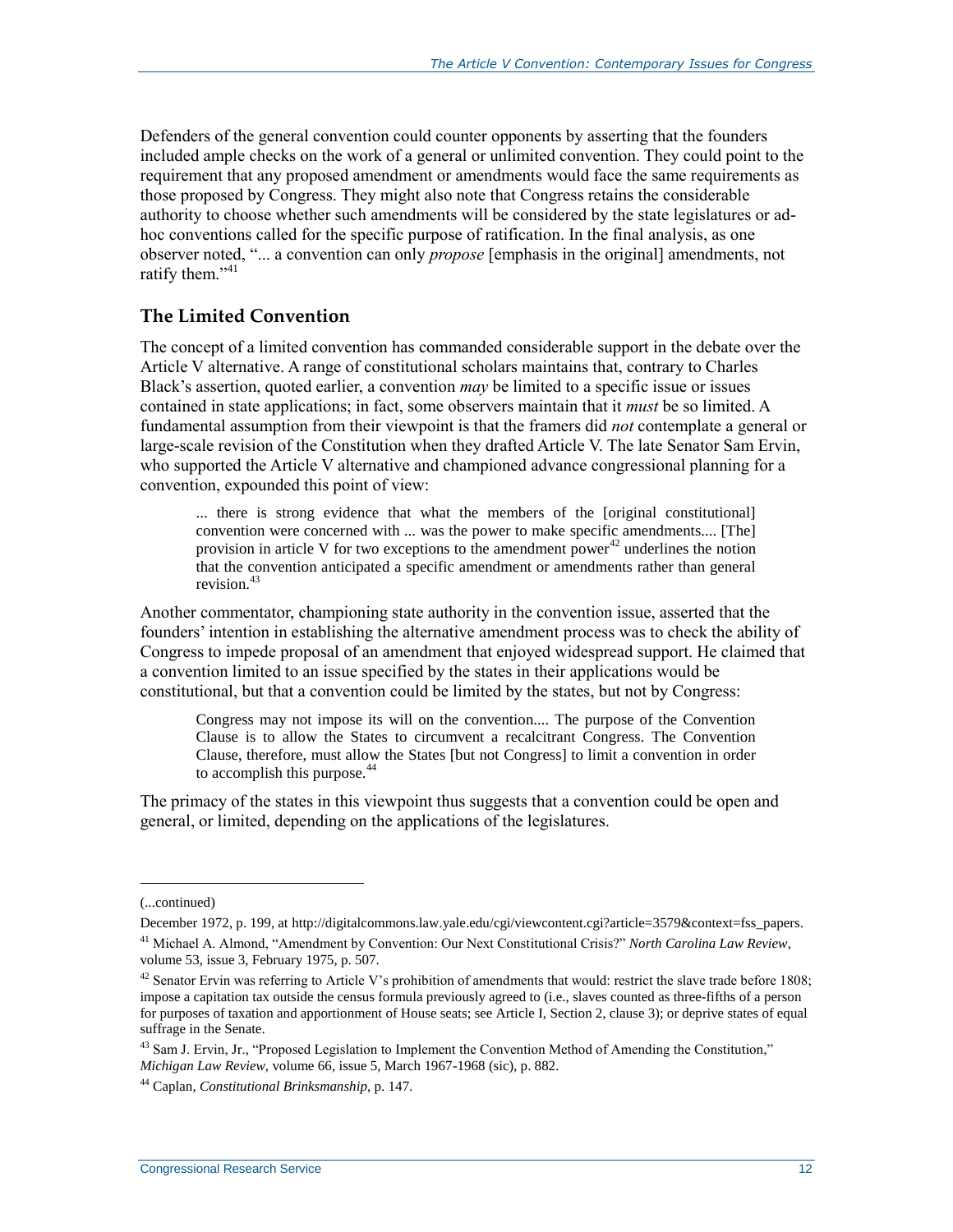Defenders of the general convention could counter opponents by asserting that the founders included ample checks on the work of a general or unlimited convention. They could point to the requirement that any proposed amendment or amendments would face the same requirements as those proposed by Congress. They might also note that Congress retains the considerable authority to choose whether such amendments will be considered by the state legislatures or adhoc conventions called for the specific purpose of ratification. In the final analysis, as one observer noted, "... a convention can only *propose* [emphasis in the original] amendments, not ratify them." $41$ 

#### **The Limited Convention**

The concept of a limited convention has commanded considerable support in the debate over the Article V alternative. A range of constitutional scholars maintains that, contrary to Charles Black's assertion, quoted earlier, a convention *may* be limited to a specific issue or issues contained in state applications; in fact, some observers maintain that it *must* be so limited. A fundamental assumption from their viewpoint is that the framers did *not* contemplate a general or large-scale revision of the Constitution when they drafted Article V. The late Senator Sam Ervin, who supported the Article V alternative and championed advance congressional planning for a convention, expounded this point of view:

... there is strong evidence that what the members of the [original constitutional] convention were concerned with ... was the power to make specific amendments.... [The] provision in article V for two exceptions to the amendment power $42$  underlines the notion that the convention anticipated a specific amendment or amendments rather than general revision.<sup>43</sup>

Another commentator, championing state authority in the convention issue, asserted that the founders' intention in establishing the alternative amendment process was to check the ability of Congress to impede proposal of an amendment that enjoyed widespread support. He claimed that a convention limited to an issue specified by the states in their applications would be constitutional, but that a convention could be limited by the states, but not by Congress:

Congress may not impose its will on the convention.... The purpose of the Convention Clause is to allow the States to circumvent a recalcitrant Congress. The Convention Clause, therefore, must allow the States [but not Congress] to limit a convention in order to accomplish this purpose. $44$ 

The primacy of the states in this viewpoint thus suggests that a convention could be open and general, or limited, depending on the applications of the legislatures.

l

<sup>(...</sup>continued)

December 1972, p. 199, at http://digitalcommons.law.yale.edu/cgi/viewcontent.cgi?article=3579&context=fss\_papers.

<sup>41</sup> Michael A. Almond, "Amendment by Convention: Our Next Constitutional Crisis?" *North Carolina Law Review*, volume 53, issue 3, February 1975, p. 507.

 $42$  Senator Ervin was referring to Article V's prohibition of amendments that would: restrict the slave trade before 1808; impose a capitation tax outside the census formula previously agreed to (i.e., slaves counted as three-fifths of a person for purposes of taxation and apportionment of House seats; see Article I, Section 2, clause 3); or deprive states of equal suffrage in the Senate.

<sup>&</sup>lt;sup>43</sup> Sam J. Ervin, Jr., "Proposed Legislation to Implement the Convention Method of Amending the Constitution," *Michigan Law Review*, volume 66, issue 5, March 1967-1968 (sic), p. 882.

<sup>44</sup> Caplan, *Constitutional Brinksmanship*, p. 147.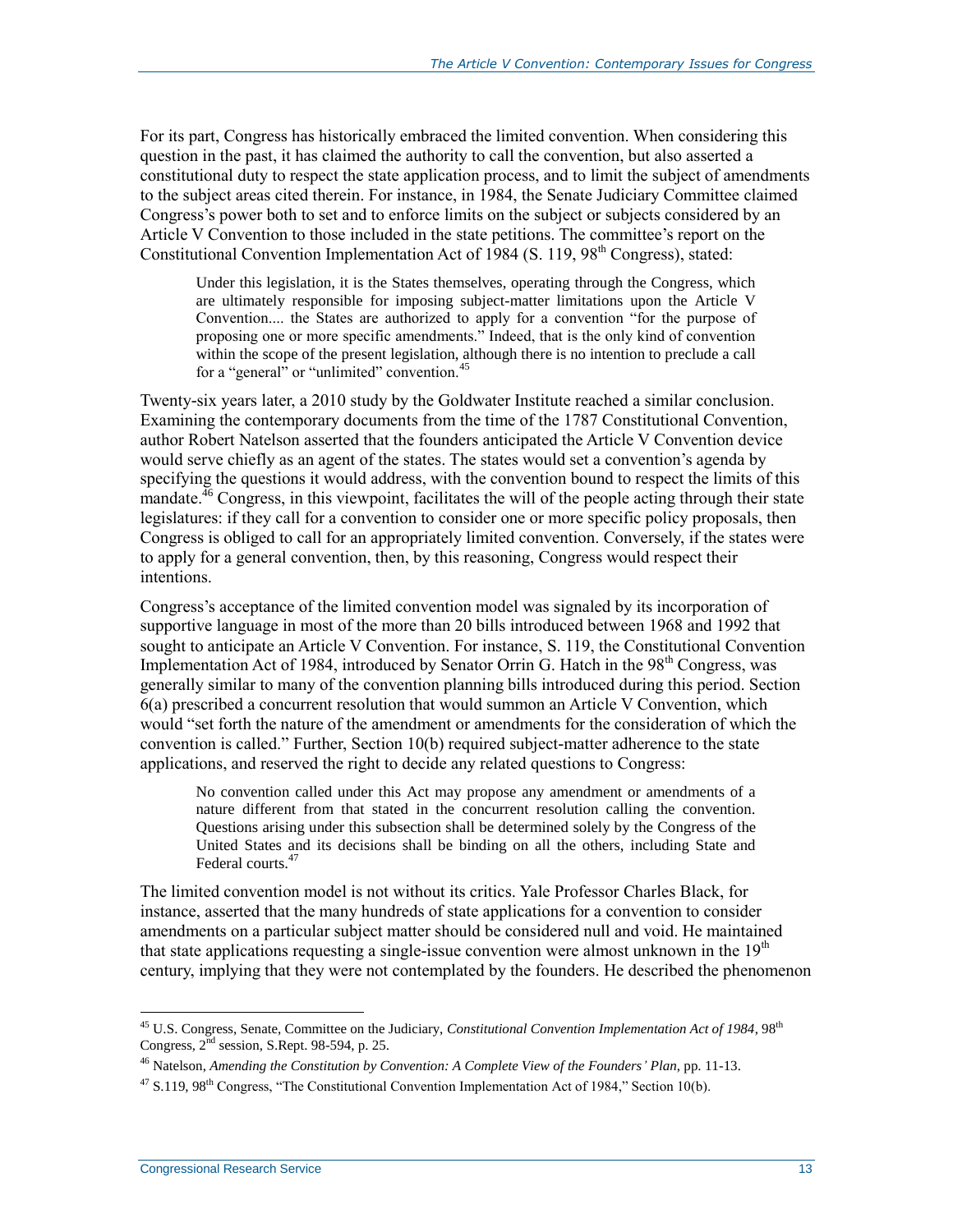For its part, Congress has historically embraced the limited convention. When considering this question in the past, it has claimed the authority to call the convention, but also asserted a constitutional duty to respect the state application process, and to limit the subject of amendments to the subject areas cited therein. For instance, in 1984, the Senate Judiciary Committee claimed Congress's power both to set and to enforce limits on the subject or subjects considered by an Article V Convention to those included in the state petitions. The committee's report on the Constitutional Convention Implementation Act of 1984 (S. 119,  $98<sup>th</sup>$  Congress), stated:

Under this legislation, it is the States themselves, operating through the Congress, which are ultimately responsible for imposing subject-matter limitations upon the Article V Convention.... the States are authorized to apply for a convention "for the purpose of proposing one or more specific amendments." Indeed, that is the only kind of convention within the scope of the present legislation, although there is no intention to preclude a call for a "general" or "unlimited" convention.<sup>45</sup>

Twenty-six years later, a 2010 study by the Goldwater Institute reached a similar conclusion. Examining the contemporary documents from the time of the 1787 Constitutional Convention, author Robert Natelson asserted that the founders anticipated the Article V Convention device would serve chiefly as an agent of the states. The states would set a convention's agenda by specifying the questions it would address, with the convention bound to respect the limits of this mandate.<sup>46</sup> Congress, in this viewpoint, facilitates the will of the people acting through their state legislatures: if they call for a convention to consider one or more specific policy proposals, then Congress is obliged to call for an appropriately limited convention. Conversely, if the states were to apply for a general convention, then, by this reasoning, Congress would respect their intentions.

Congress's acceptance of the limited convention model was signaled by its incorporation of supportive language in most of the more than 20 bills introduced between 1968 and 1992 that sought to anticipate an Article V Convention. For instance, S. 119, the Constitutional Convention Implementation Act of 1984, introduced by Senator Orrin G. Hatch in the  $98<sup>th</sup>$  Congress, was generally similar to many of the convention planning bills introduced during this period. Section 6(a) prescribed a concurrent resolution that would summon an Article V Convention, which would "set forth the nature of the amendment or amendments for the consideration of which the convention is called." Further, Section 10(b) required subject-matter adherence to the state applications, and reserved the right to decide any related questions to Congress:

No convention called under this Act may propose any amendment or amendments of a nature different from that stated in the concurrent resolution calling the convention. Questions arising under this subsection shall be determined solely by the Congress of the United States and its decisions shall be binding on all the others, including State and Federal courts.<sup>47</sup>

The limited convention model is not without its critics. Yale Professor Charles Black, for instance, asserted that the many hundreds of state applications for a convention to consider amendments on a particular subject matter should be considered null and void. He maintained that state applications requesting a single-issue convention were almost unknown in the  $19<sup>th</sup>$ century, implying that they were not contemplated by the founders. He described the phenomenon

<sup>45</sup> U.S. Congress, Senate, Committee on the Judiciary, *Constitutional Convention Implementation Act of 1984*, 98th Congress,  $2^{nd}$  session, S.Rept. 98-594, p. 25.

<sup>46</sup> Natelson, *Amending the Constitution by Convention: A Complete View of the Founders' Plan*, pp. 11-13.

 $^{47}$  S.119, 98<sup>th</sup> Congress, "The Constitutional Convention Implementation Act of 1984," Section 10(b).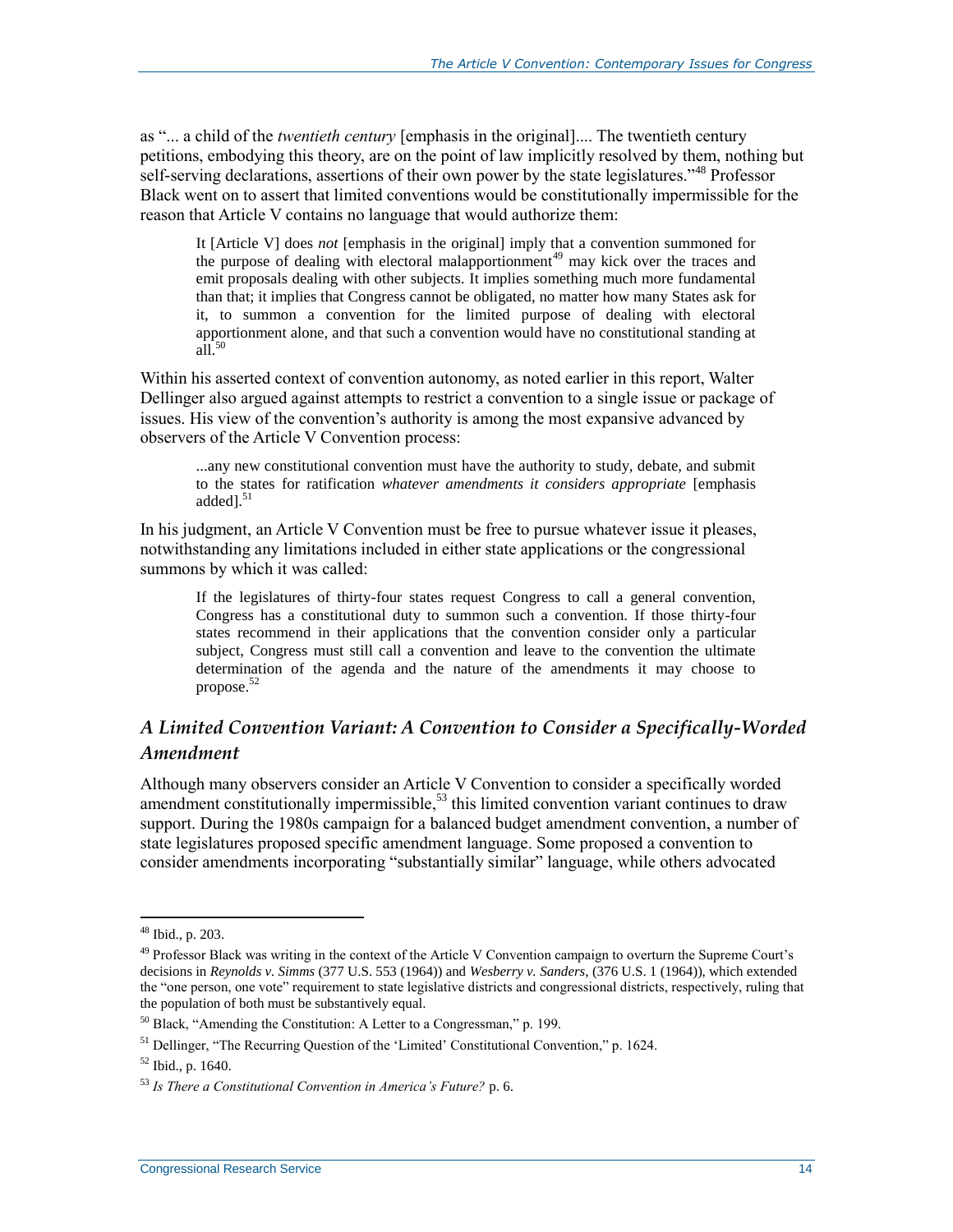as "... a child of the *twentieth century* [emphasis in the original].... The twentieth century petitions, embodying this theory, are on the point of law implicitly resolved by them, nothing but self-serving declarations, assertions of their own power by the state legislatures.<sup>348</sup> Professor Black went on to assert that limited conventions would be constitutionally impermissible for the reason that Article V contains no language that would authorize them:

It [Article V] does *not* [emphasis in the original] imply that a convention summoned for the purpose of dealing with electoral malapportionment<sup>49</sup> may kick over the traces and emit proposals dealing with other subjects. It implies something much more fundamental than that; it implies that Congress cannot be obligated, no matter how many States ask for it, to summon a convention for the limited purpose of dealing with electoral apportionment alone, and that such a convention would have no constitutional standing at  $all.<sup>50</sup>$ 

Within his asserted context of convention autonomy, as noted earlier in this report, Walter Dellinger also argued against attempts to restrict a convention to a single issue or package of issues. His view of the convention's authority is among the most expansive advanced by observers of the Article V Convention process:

...any new constitutional convention must have the authority to study, debate, and submit to the states for ratification *whatever amendments it considers appropriate* [emphasis added<sup>1.51</sup>

In his judgment, an Article V Convention must be free to pursue whatever issue it pleases, notwithstanding any limitations included in either state applications or the congressional summons by which it was called:

If the legislatures of thirty-four states request Congress to call a general convention, Congress has a constitutional duty to summon such a convention. If those thirty-four states recommend in their applications that the convention consider only a particular subject, Congress must still call a convention and leave to the convention the ultimate determination of the agenda and the nature of the amendments it may choose to propose.<sup>52</sup>

#### *A Limited Convention Variant: A Convention to Consider a Specifically-Worded Amendment*

Although many observers consider an Article V Convention to consider a specifically worded amendment constitutionally impermissible,<sup>53</sup> this limited convention variant continues to draw support. During the 1980s campaign for a balanced budget amendment convention, a number of state legislatures proposed specific amendment language. Some proposed a convention to consider amendments incorporating "substantially similar" language, while others advocated

<sup>48</sup> Ibid., p. 203.

<sup>&</sup>lt;sup>49</sup> Professor Black was writing in the context of the Article V Convention campaign to overturn the Supreme Court's decisions in *Reynolds v. Simms* (377 U.S. 553 (1964)) and *Wesberry v. Sanders*, (376 U.S. 1 (1964)), which extended the "one person, one vote" requirement to state legislative districts and congressional districts, respectively, ruling that the population of both must be substantively equal.

<sup>50</sup> Black, "Amending the Constitution: A Letter to a Congressman," p. 199.

<sup>51</sup> Dellinger, "The Recurring Question of the 'Limited' Constitutional Convention," p. 1624.

<sup>52</sup> Ibid., p. 1640.

<sup>53</sup> *Is There a Constitutional Convention in America's Future?* p. 6.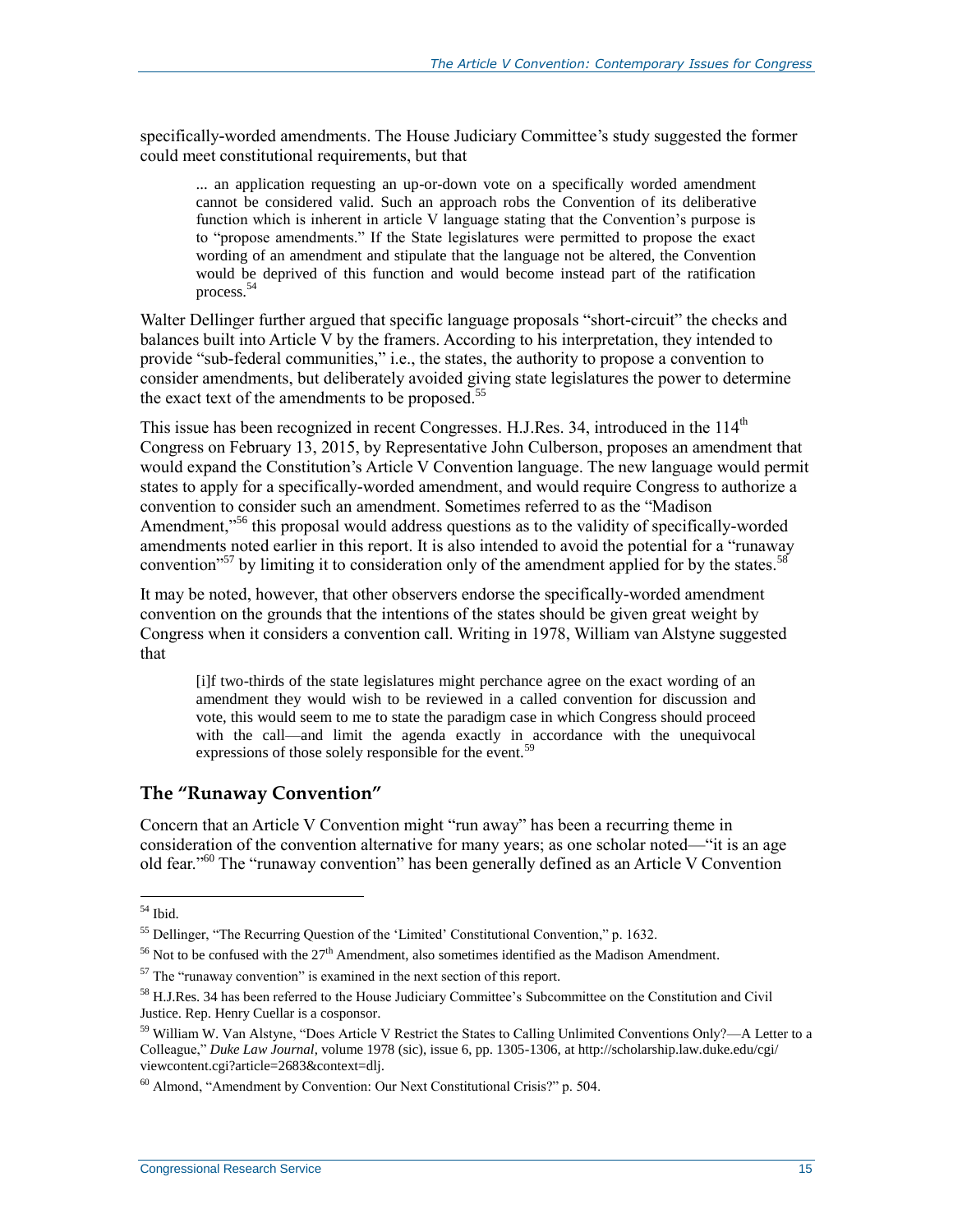specifically-worded amendments. The House Judiciary Committee's study suggested the former could meet constitutional requirements, but that

... an application requesting an up-or-down vote on a specifically worded amendment cannot be considered valid. Such an approach robs the Convention of its deliberative function which is inherent in article V language stating that the Convention's purpose is to "propose amendments." If the State legislatures were permitted to propose the exact wording of an amendment and stipulate that the language not be altered, the Convention would be deprived of this function and would become instead part of the ratification process.<sup>54</sup>

Walter Dellinger further argued that specific language proposals "short-circuit" the checks and balances built into Article V by the framers. According to his interpretation, they intended to provide "sub-federal communities," i.e., the states, the authority to propose a convention to consider amendments, but deliberately avoided giving state legislatures the power to determine the exact text of the amendments to be proposed.<sup>55</sup>

This issue has been recognized in recent Congresses. H.J.Res. 34, introduced in the  $114<sup>th</sup>$ Congress on February 13, 2015, by Representative John Culberson, proposes an amendment that would expand the Constitution's Article V Convention language. The new language would permit states to apply for a specifically-worded amendment, and would require Congress to authorize a convention to consider such an amendment. Sometimes referred to as the "Madison Amendment,"<sup>56</sup> this proposal would address questions as to the validity of specifically-worded amendments noted earlier in this report. It is also intended to avoid the potential for a "runaway convention"<sup>57</sup> by limiting it to consideration only of the amendment applied for by the states.<sup>58</sup>

It may be noted, however, that other observers endorse the specifically-worded amendment convention on the grounds that the intentions of the states should be given great weight by Congress when it considers a convention call. Writing in 1978, William van Alstyne suggested that

[i]f two-thirds of the state legislatures might perchance agree on the exact wording of an amendment they would wish to be reviewed in a called convention for discussion and vote, this would seem to me to state the paradigm case in which Congress should proceed with the call—and limit the agenda exactly in accordance with the unequivocal expressions of those solely responsible for the event.<sup>59</sup>

#### **The "Runaway Convention"**

Concern that an Article V Convention might "run away" has been a recurring theme in consideration of the convention alternative for many years; as one scholar noted—"it is an age old fear."<sup>60</sup> The "runaway convention" has been generally defined as an Article V Convention

<sup>54</sup> Ibid.

<sup>55</sup> Dellinger, "The Recurring Question of the 'Limited' Constitutional Convention," p. 1632.

 $56$  Not to be confused with the  $27<sup>th</sup>$  Amendment, also sometimes identified as the Madison Amendment.

<sup>57</sup> The "runaway convention" is examined in the next section of this report.

<sup>58</sup> H.J.Res. 34 has been referred to the House Judiciary Committee's Subcommittee on the Constitution and Civil Justice. Rep. Henry Cuellar is a cosponsor.

<sup>&</sup>lt;sup>59</sup> William W. Van Alstyne, "Does Article V Restrict the States to Calling Unlimited Conventions Only?—A Letter to a Colleague," *Duke Law Journal*, volume 1978 (sic), issue 6, pp. 1305-1306, at http://scholarship.law.duke.edu/cgi/ viewcontent.cgi?article=2683&context=dlj.

<sup>60</sup> Almond, "Amendment by Convention: Our Next Constitutional Crisis?" p. 504.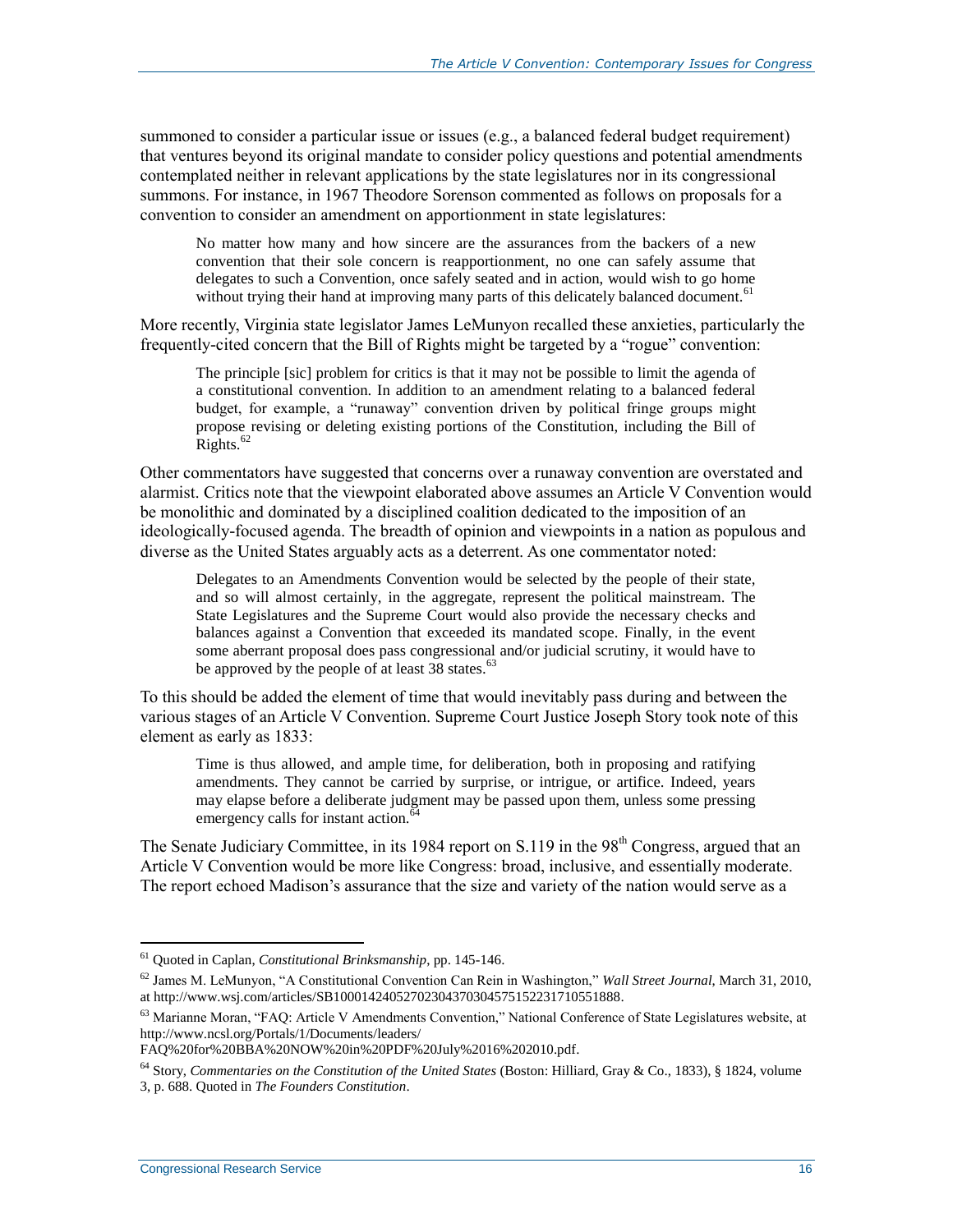summoned to consider a particular issue or issues (e.g., a balanced federal budget requirement) that ventures beyond its original mandate to consider policy questions and potential amendments contemplated neither in relevant applications by the state legislatures nor in its congressional summons. For instance, in 1967 Theodore Sorenson commented as follows on proposals for a convention to consider an amendment on apportionment in state legislatures:

No matter how many and how sincere are the assurances from the backers of a new convention that their sole concern is reapportionment, no one can safely assume that delegates to such a Convention, once safely seated and in action, would wish to go home without trying their hand at improving many parts of this delicately balanced document.<sup>61</sup>

More recently, Virginia state legislator James LeMunyon recalled these anxieties, particularly the frequently-cited concern that the Bill of Rights might be targeted by a "rogue" convention:

The principle [sic] problem for critics is that it may not be possible to limit the agenda of a constitutional convention. In addition to an amendment relating to a balanced federal budget, for example, a "runaway" convention driven by political fringe groups might propose revising or deleting existing portions of the Constitution, including the Bill of  $Rights.<sup>62</sup>$ 

Other commentators have suggested that concerns over a runaway convention are overstated and alarmist. Critics note that the viewpoint elaborated above assumes an Article V Convention would be monolithic and dominated by a disciplined coalition dedicated to the imposition of an ideologically-focused agenda. The breadth of opinion and viewpoints in a nation as populous and diverse as the United States arguably acts as a deterrent. As one commentator noted:

Delegates to an Amendments Convention would be selected by the people of their state, and so will almost certainly, in the aggregate, represent the political mainstream. The State Legislatures and the Supreme Court would also provide the necessary checks and balances against a Convention that exceeded its mandated scope. Finally, in the event some aberrant proposal does pass congressional and/or judicial scrutiny, it would have to be approved by the people of at least  $38$  states.<sup>63</sup>

To this should be added the element of time that would inevitably pass during and between the various stages of an Article V Convention. Supreme Court Justice Joseph Story took note of this element as early as 1833:

Time is thus allowed, and ample time, for deliberation, both in proposing and ratifying amendments. They cannot be carried by surprise, or intrigue, or artifice. Indeed, years may elapse before a deliberate judgment may be passed upon them, unless some pressing emergency calls for instant action.<sup>6</sup>

The Senate Judiciary Committee, in its 1984 report on S.119 in the 98<sup>th</sup> Congress, argued that an Article V Convention would be more like Congress: broad, inclusive, and essentially moderate. The report echoed Madison's assurance that the size and variety of the nation would serve as a

<sup>61</sup> Quoted in Caplan, *Constitutional Brinksmanship*, pp. 145-146.

<sup>62</sup> James M. LeMunyon, "A Constitutional Convention Can Rein in Washington," *Wall Street Journal*, March 31, 2010, at http://www.wsj.com/articles/SB10001424052702304370304575152231710551888.

 $63$  Marianne Moran, "FAQ: Article V Amendments Convention," National Conference of State Legislatures website, at http://www.ncsl.org/Portals/1/Documents/leaders/

FAQ%20for%20BBA%20NOW%20in%20PDF%20July%2016%202010.pdf.

<sup>64</sup> Story, *Commentaries on the Constitution of the United States* (Boston: Hilliard, Gray & Co., 1833), § 1824, volume 3, p. 688. Quoted in *The Founders Constitution*.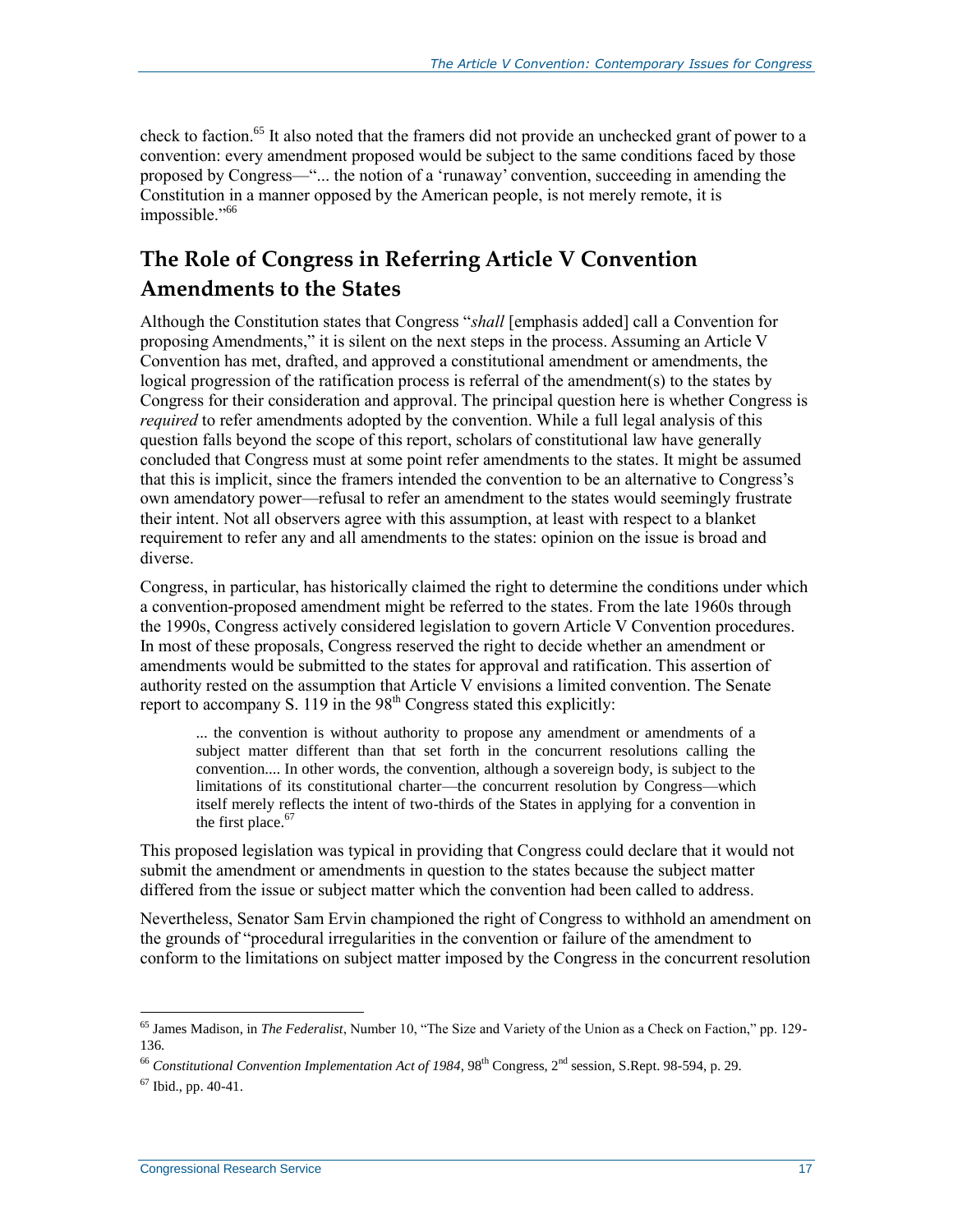check to faction.<sup>65</sup> It also noted that the framers did not provide an unchecked grant of power to a convention: every amendment proposed would be subject to the same conditions faced by those proposed by Congress—"... the notion of a 'runaway' convention, succeeding in amending the Constitution in a manner opposed by the American people, is not merely remote, it is impossible."<sup>66</sup>

## **The Role of Congress in Referring Article V Convention Amendments to the States**

Although the Constitution states that Congress "*shall* [emphasis added] call a Convention for proposing Amendments," it is silent on the next steps in the process. Assuming an Article V Convention has met, drafted, and approved a constitutional amendment or amendments, the logical progression of the ratification process is referral of the amendment( $s$ ) to the states by Congress for their consideration and approval. The principal question here is whether Congress is *required* to refer amendments adopted by the convention. While a full legal analysis of this question falls beyond the scope of this report, scholars of constitutional law have generally concluded that Congress must at some point refer amendments to the states. It might be assumed that this is implicit, since the framers intended the convention to be an alternative to Congress's own amendatory power—refusal to refer an amendment to the states would seemingly frustrate their intent. Not all observers agree with this assumption, at least with respect to a blanket requirement to refer any and all amendments to the states: opinion on the issue is broad and diverse.

Congress, in particular, has historically claimed the right to determine the conditions under which a convention-proposed amendment might be referred to the states. From the late 1960s through the 1990s, Congress actively considered legislation to govern Article V Convention procedures. In most of these proposals, Congress reserved the right to decide whether an amendment or amendments would be submitted to the states for approval and ratification. This assertion of authority rested on the assumption that Article V envisions a limited convention. The Senate report to accompany S. 119 in the  $98<sup>th</sup>$  Congress stated this explicitly:

... the convention is without authority to propose any amendment or amendments of a subject matter different than that set forth in the concurrent resolutions calling the convention.... In other words, the convention, although a sovereign body, is subject to the limitations of its constitutional charter—the concurrent resolution by Congress—which itself merely reflects the intent of two-thirds of the States in applying for a convention in the first place. $67$ 

This proposed legislation was typical in providing that Congress could declare that it would not submit the amendment or amendments in question to the states because the subject matter differed from the issue or subject matter which the convention had been called to address.

Nevertheless, Senator Sam Ervin championed the right of Congress to withhold an amendment on the grounds of "procedural irregularities in the convention or failure of the amendment to conform to the limitations on subject matter imposed by the Congress in the concurrent resolution

<sup>65</sup> James Madison, in *The Federalist*, Number 10, "The Size and Variety of the Union as a Check on Faction," pp. 129- 136.

<sup>&</sup>lt;sup>66</sup> Constitutional Convention Implementation Act of 1984, 98<sup>th</sup> Congress, 2<sup>nd</sup> session, S.Rept. 98-594, p. 29.

 $67$  Ibid., pp. 40-41.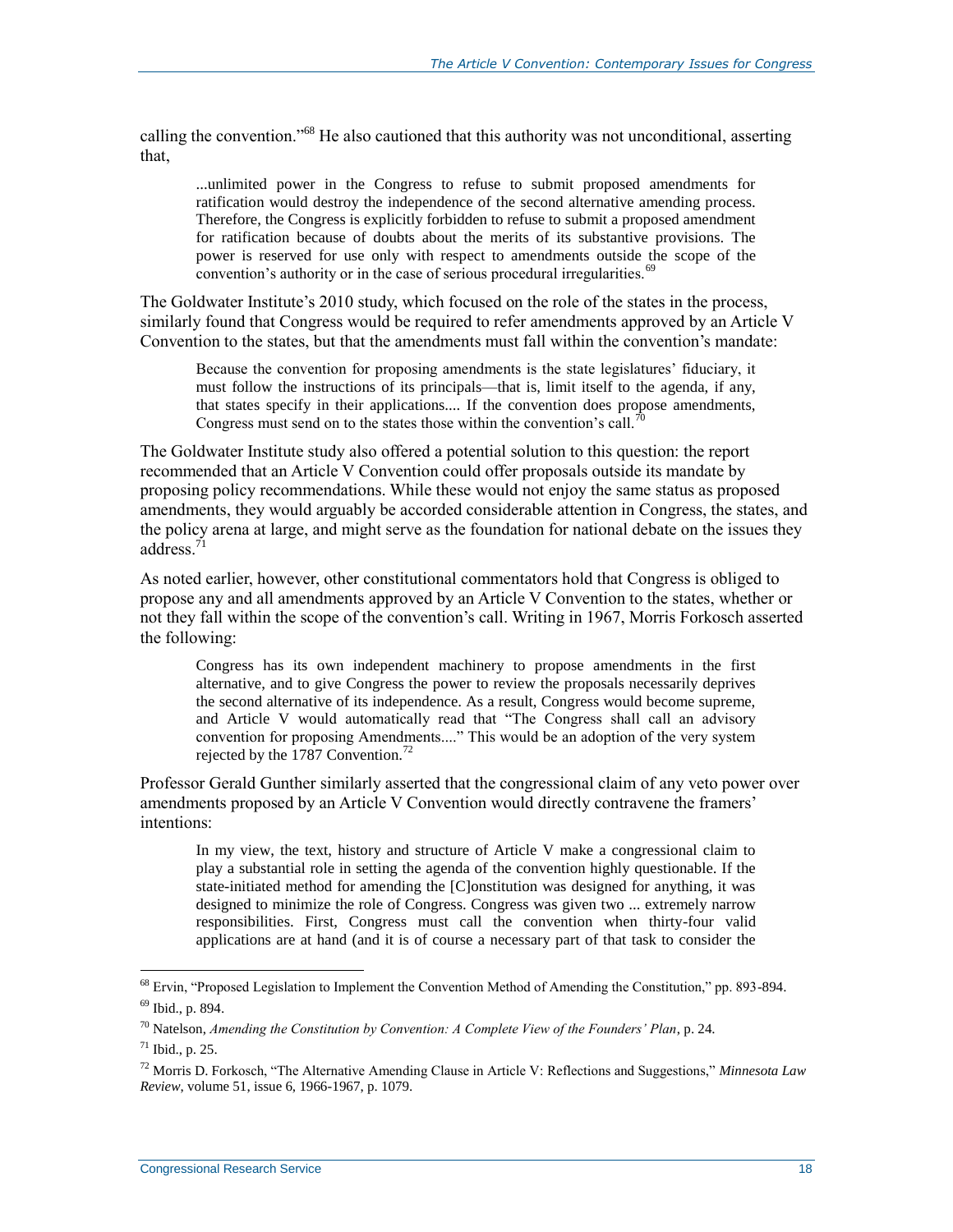calling the convention."<sup>68</sup> He also cautioned that this authority was not unconditional, asserting that,

...unlimited power in the Congress to refuse to submit proposed amendments for ratification would destroy the independence of the second alternative amending process. Therefore, the Congress is explicitly forbidden to refuse to submit a proposed amendment for ratification because of doubts about the merits of its substantive provisions. The power is reserved for use only with respect to amendments outside the scope of the convention's authority or in the case of serious procedural irregularities.<sup>69</sup>

The Goldwater Institute's 2010 study, which focused on the role of the states in the process, similarly found that Congress would be required to refer amendments approved by an Article V Convention to the states, but that the amendments must fall within the convention's mandate:

Because the convention for proposing amendments is the state legislatures' fiduciary, it must follow the instructions of its principals—that is, limit itself to the agenda, if any, that states specify in their applications.... If the convention does propose amendments, Congress must send on to the states those within the convention's call.<sup>7</sup>

The Goldwater Institute study also offered a potential solution to this question: the report recommended that an Article V Convention could offer proposals outside its mandate by proposing policy recommendations. While these would not enjoy the same status as proposed amendments, they would arguably be accorded considerable attention in Congress, the states, and the policy arena at large, and might serve as the foundation for national debate on the issues they address.<sup>71</sup>

As noted earlier, however, other constitutional commentators hold that Congress is obliged to propose any and all amendments approved by an Article V Convention to the states, whether or not they fall within the scope of the convention's call. Writing in 1967, Morris Forkosch asserted the following:

Congress has its own independent machinery to propose amendments in the first alternative, and to give Congress the power to review the proposals necessarily deprives the second alternative of its independence. As a result, Congress would become supreme, and Article V would automatically read that "The Congress shall call an advisory convention for proposing Amendments...." This would be an adoption of the very system rejected by the  $1787$  Convention.<sup>72</sup>

Professor Gerald Gunther similarly asserted that the congressional claim of any veto power over amendments proposed by an Article V Convention would directly contravene the framers' intentions:

In my view, the text, history and structure of Article V make a congressional claim to play a substantial role in setting the agenda of the convention highly questionable. If the state-initiated method for amending the [C]onstitution was designed for anything, it was designed to minimize the role of Congress. Congress was given two ... extremely narrow responsibilities. First, Congress must call the convention when thirty-four valid applications are at hand (and it is of course a necessary part of that task to consider the

<sup>&</sup>lt;sup>68</sup> Ervin, "Proposed Legislation to Implement the Convention Method of Amending the Constitution," pp. 893-894.  $69$  Ibid., p. 894.

<sup>70</sup> Natelson, *Amending the Constitution by Convention: A Complete View of the Founders' Plan*, p. 24.

 $71$  Ibid., p. 25.

<sup>72</sup> Morris D. Forkosch, "The Alternative Amending Clause in Article V: Reflections and Suggestions," *Minnesota Law Review*, volume 51, issue 6, 1966-1967, p. 1079.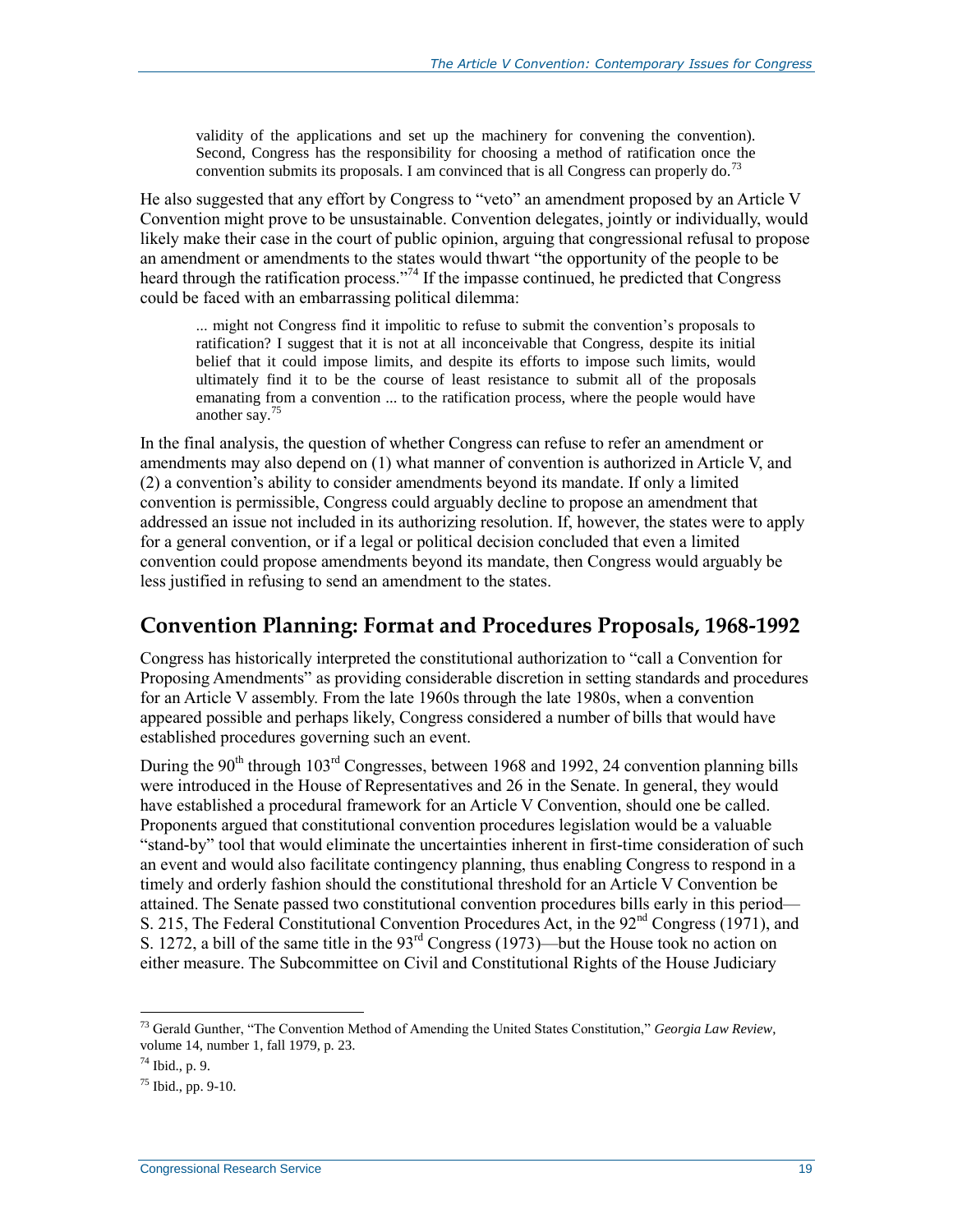validity of the applications and set up the machinery for convening the convention). Second, Congress has the responsibility for choosing a method of ratification once the convention submits its proposals. I am convinced that is all Congress can properly do.<sup>73</sup>

He also suggested that any effort by Congress to "veto" an amendment proposed by an Article V Convention might prove to be unsustainable. Convention delegates, jointly or individually, would likely make their case in the court of public opinion, arguing that congressional refusal to propose an amendment or amendments to the states would thwart "the opportunity of the people to be heard through the ratification process."<sup>74</sup> If the impasse continued, he predicted that Congress could be faced with an embarrassing political dilemma:

... might not Congress find it impolitic to refuse to submit the convention's proposals to ratification? I suggest that it is not at all inconceivable that Congress, despite its initial belief that it could impose limits, and despite its efforts to impose such limits, would ultimately find it to be the course of least resistance to submit all of the proposals emanating from a convention ... to the ratification process, where the people would have another say.<sup>75</sup>

In the final analysis, the question of whether Congress can refuse to refer an amendment or amendments may also depend on (1) what manner of convention is authorized in Article V, and (2) a convention's ability to consider amendments beyond its mandate. If only a limited convention is permissible, Congress could arguably decline to propose an amendment that addressed an issue not included in its authorizing resolution. If, however, the states were to apply for a general convention, or if a legal or political decision concluded that even a limited convention could propose amendments beyond its mandate, then Congress would arguably be less justified in refusing to send an amendment to the states.

### **Convention Planning: Format and Procedures Proposals, 1968-1992**

Congress has historically interpreted the constitutional authorization to "call a Convention for Proposing Amendments" as providing considerable discretion in setting standards and procedures for an Article V assembly. From the late 1960s through the late 1980s, when a convention appeared possible and perhaps likely, Congress considered a number of bills that would have established procedures governing such an event.

During the  $90<sup>th</sup>$  through  $103<sup>rd</sup>$  Congresses, between 1968 and 1992, 24 convention planning bills were introduced in the House of Representatives and 26 in the Senate. In general, they would have established a procedural framework for an Article V Convention, should one be called. Proponents argued that constitutional convention procedures legislation would be a valuable "stand-by" tool that would eliminate the uncertainties inherent in first-time consideration of such an event and would also facilitate contingency planning, thus enabling Congress to respond in a timely and orderly fashion should the constitutional threshold for an Article V Convention be attained. The Senate passed two constitutional convention procedures bills early in this period— S. 215, The Federal Constitutional Convention Procedures Act, in the 92<sup>nd</sup> Congress (1971), and S. 1272, a bill of the same title in the  $93<sup>rd</sup>$  Congress (1973)—but the House took no action on either measure. The Subcommittee on Civil and Constitutional Rights of the House Judiciary

<sup>73</sup> Gerald Gunther, "The Convention Method of Amending the United States Constitution," *Georgia Law Review*, volume 14, number 1, fall 1979, p. 23.

<sup>74</sup> Ibid., p. 9.

 $75$  Ibid., pp. 9-10.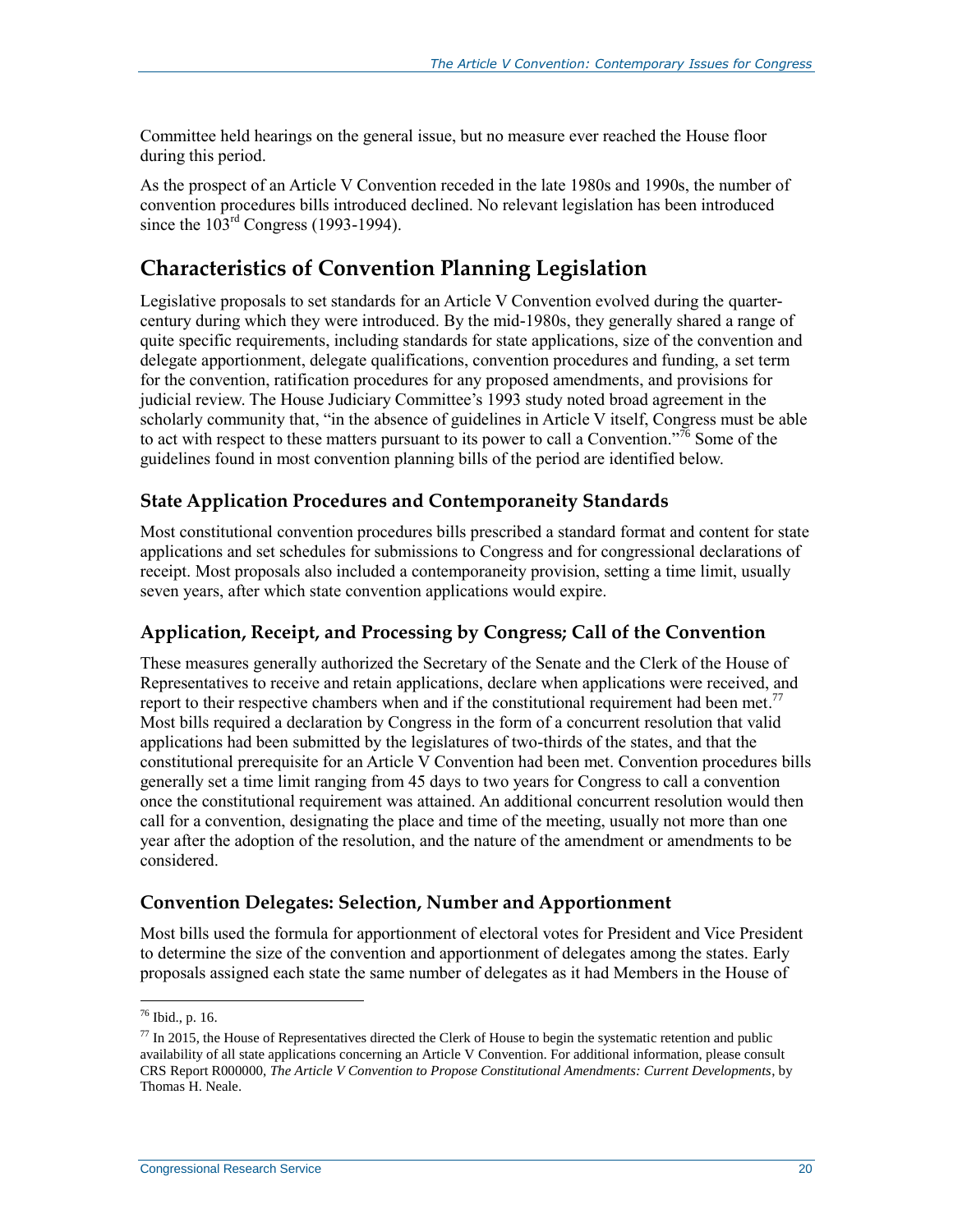Committee held hearings on the general issue, but no measure ever reached the House floor during this period.

As the prospect of an Article V Convention receded in the late 1980s and 1990s, the number of convention procedures bills introduced declined. No relevant legislation has been introduced since the  $103<sup>rd</sup>$  Congress (1993-1994).

## **Characteristics of Convention Planning Legislation**

Legislative proposals to set standards for an Article V Convention evolved during the quartercentury during which they were introduced. By the mid-1980s, they generally shared a range of quite specific requirements, including standards for state applications, size of the convention and delegate apportionment, delegate qualifications, convention procedures and funding, a set term for the convention, ratification procedures for any proposed amendments, and provisions for judicial review. The House Judiciary Committee's 1993 study noted broad agreement in the scholarly community that, "in the absence of guidelines in Article V itself, Congress must be able to act with respect to these matters pursuant to its power to call a Convention."<sup>76</sup> Some of the guidelines found in most convention planning bills of the period are identified below.

#### **State Application Procedures and Contemporaneity Standards**

Most constitutional convention procedures bills prescribed a standard format and content for state applications and set schedules for submissions to Congress and for congressional declarations of receipt. Most proposals also included a contemporaneity provision, setting a time limit, usually seven years, after which state convention applications would expire.

#### **Application, Receipt, and Processing by Congress; Call of the Convention**

These measures generally authorized the Secretary of the Senate and the Clerk of the House of Representatives to receive and retain applications, declare when applications were received, and report to their respective chambers when and if the constitutional requirement had been met.<sup>77</sup> Most bills required a declaration by Congress in the form of a concurrent resolution that valid applications had been submitted by the legislatures of two-thirds of the states, and that the constitutional prerequisite for an Article V Convention had been met. Convention procedures bills generally set a time limit ranging from 45 days to two years for Congress to call a convention once the constitutional requirement was attained. An additional concurrent resolution would then call for a convention, designating the place and time of the meeting, usually not more than one year after the adoption of the resolution, and the nature of the amendment or amendments to be considered.

#### **Convention Delegates: Selection, Number and Apportionment**

Most bills used the formula for apportionment of electoral votes for President and Vice President to determine the size of the convention and apportionment of delegates among the states. Early proposals assigned each state the same number of delegates as it had Members in the House of

 $76$  Ibid., p. 16.

 $77$  In 2015, the House of Representatives directed the Clerk of House to begin the systematic retention and public availability of all state applications concerning an Article V Convention. For additional information, please consult CRS Report R000000, *The Article V Convention to Propose Constitutional Amendments: Current Developments*, by Thomas H. Neale.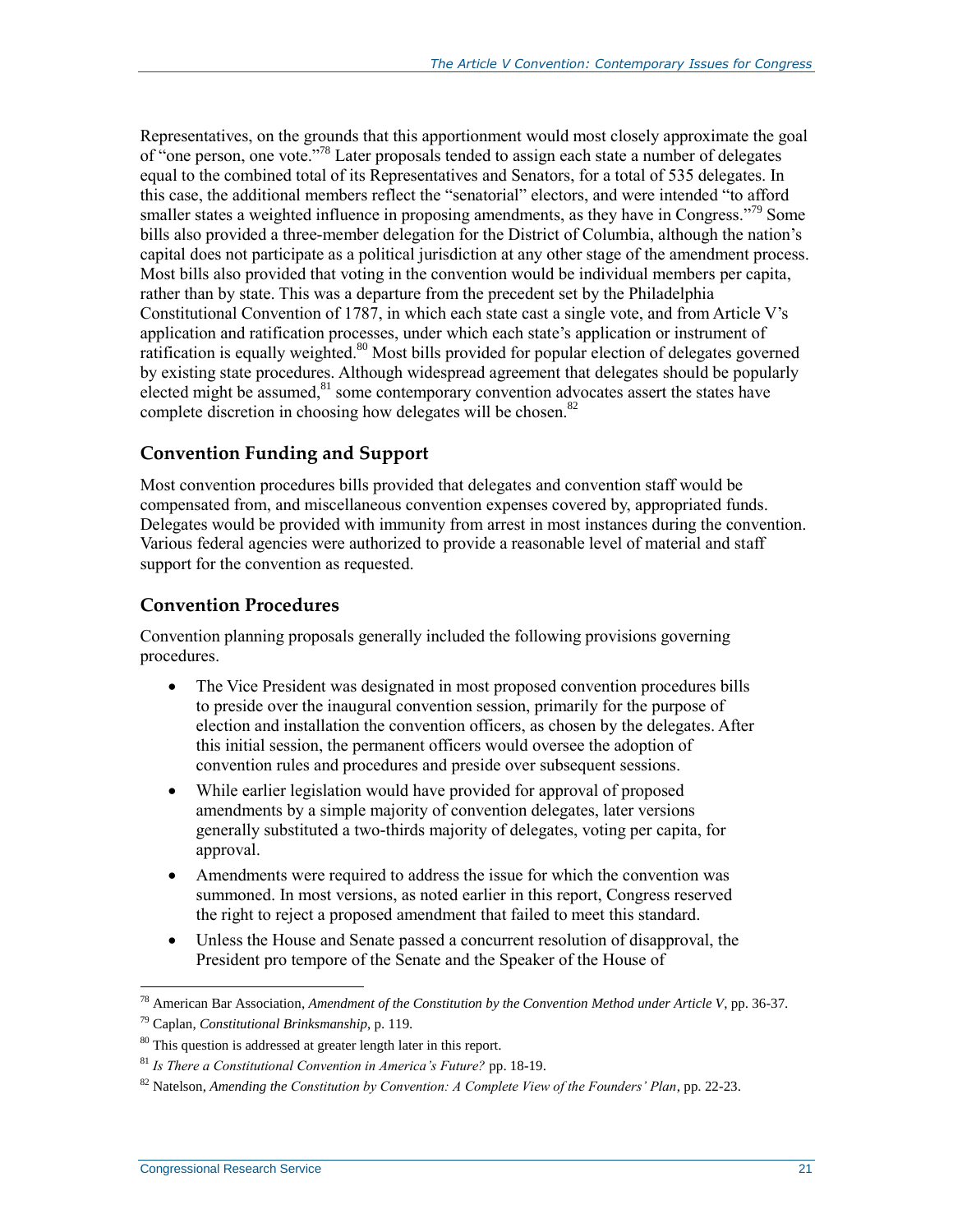Representatives, on the grounds that this apportionment would most closely approximate the goal of "one person, one vote."<sup>78</sup> Later proposals tended to assign each state a number of delegates equal to the combined total of its Representatives and Senators, for a total of 535 delegates. In this case, the additional members reflect the "senatorial" electors, and were intended "to afford smaller states a weighted influence in proposing amendments, as they have in Congress."<sup>79</sup> Some bills also provided a three-member delegation for the District of Columbia, although the nation's capital does not participate as a political jurisdiction at any other stage of the amendment process. Most bills also provided that voting in the convention would be individual members per capita, rather than by state. This was a departure from the precedent set by the Philadelphia Constitutional Convention of 1787, in which each state cast a single vote, and from Article V's application and ratification processes, under which each state's application or instrument of ratification is equally weighted.<sup>80</sup> Most bills provided for popular election of delegates governed by existing state procedures. Although widespread agreement that delegates should be popularly elected might be assumed,<sup>81</sup> some contemporary convention advocates assert the states have complete discretion in choosing how delegates will be chosen.<sup>82</sup>

#### **Convention Funding and Support**

Most convention procedures bills provided that delegates and convention staff would be compensated from, and miscellaneous convention expenses covered by, appropriated funds. Delegates would be provided with immunity from arrest in most instances during the convention. Various federal agencies were authorized to provide a reasonable level of material and staff support for the convention as requested.

#### **Convention Procedures**

Convention planning proposals generally included the following provisions governing procedures.

- The Vice President was designated in most proposed convention procedures bills to preside over the inaugural convention session, primarily for the purpose of election and installation the convention officers, as chosen by the delegates. After this initial session, the permanent officers would oversee the adoption of convention rules and procedures and preside over subsequent sessions.
- While earlier legislation would have provided for approval of proposed amendments by a simple majority of convention delegates, later versions generally substituted a two-thirds majority of delegates, voting per capita, for approval.
- Amendments were required to address the issue for which the convention was summoned. In most versions, as noted earlier in this report, Congress reserved the right to reject a proposed amendment that failed to meet this standard.
- Unless the House and Senate passed a concurrent resolution of disapproval, the President pro tempore of the Senate and the Speaker of the House of

<sup>78</sup> American Bar Association, *Amendment of the Constitution by the Convention Method under Article V*, pp. 36-37.

<sup>79</sup> Caplan, *Constitutional Brinksmanship*, p. 119.

<sup>&</sup>lt;sup>80</sup> This question is addressed at greater length later in this report.

<sup>81</sup> *Is There a Constitutional Convention in America's Future?* pp. 18-19.

<sup>82</sup> Natelson, *Amending the Constitution by Convention: A Complete View of the Founders' Plan*, pp. 22-23.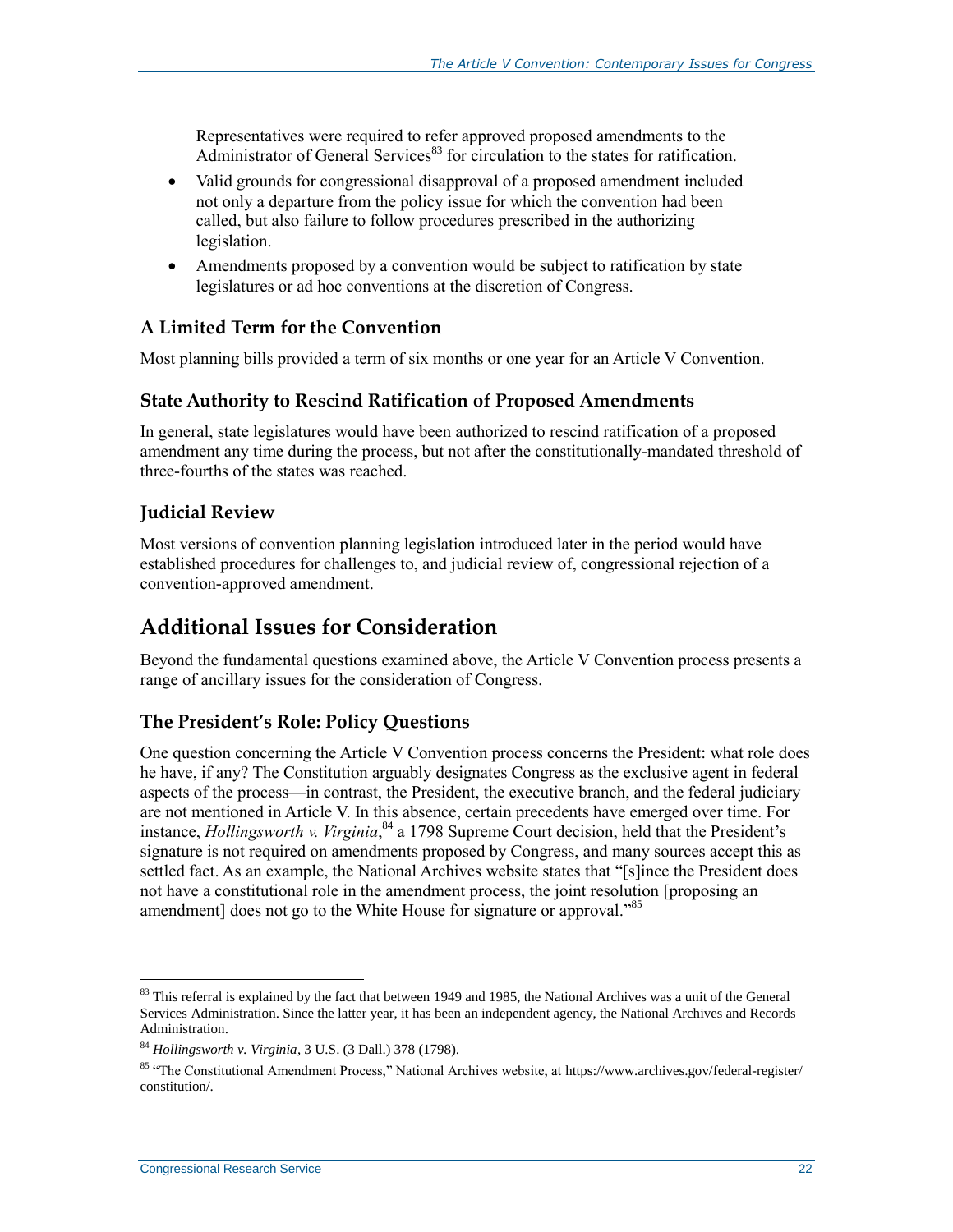Representatives were required to refer approved proposed amendments to the Administrator of General Services<sup>83</sup> for circulation to the states for ratification.

- Valid grounds for congressional disapproval of a proposed amendment included not only a departure from the policy issue for which the convention had been called, but also failure to follow procedures prescribed in the authorizing legislation.
- Amendments proposed by a convention would be subject to ratification by state legislatures or ad hoc conventions at the discretion of Congress.

#### **A Limited Term for the Convention**

Most planning bills provided a term of six months or one year for an Article V Convention.

#### **State Authority to Rescind Ratification of Proposed Amendments**

In general, state legislatures would have been authorized to rescind ratification of a proposed amendment any time during the process, but not after the constitutionally-mandated threshold of three-fourths of the states was reached.

#### **Judicial Review**

Most versions of convention planning legislation introduced later in the period would have established procedures for challenges to, and judicial review of, congressional rejection of a convention-approved amendment.

## **Additional Issues for Consideration**

Beyond the fundamental questions examined above, the Article V Convention process presents a range of ancillary issues for the consideration of Congress.

#### **The President's Role: Policy Questions**

One question concerning the Article V Convention process concerns the President: what role does he have, if any? The Constitution arguably designates Congress as the exclusive agent in federal aspects of the process—in contrast, the President, the executive branch, and the federal judiciary are not mentioned in Article V. In this absence, certain precedents have emerged over time. For instance, *Hollingsworth v. Virginia*, <sup>84</sup> a 1798 Supreme Court decision, held that the President's signature is not required on amendments proposed by Congress, and many sources accept this as settled fact. As an example, the National Archives website states that "[s]ince the President does not have a constitutional role in the amendment process, the joint resolution [proposing an amendment] does not go to the White House for signature or approval."<sup>85</sup>

 $83$  This referral is explained by the fact that between 1949 and 1985, the National Archives was a unit of the General Services Administration. Since the latter year, it has been an independent agency, the National Archives and Records Administration.

<sup>84</sup> *Hollingsworth v. Virginia*, 3 U.S. (3 Dall.) 378 (1798).

<sup>85 &</sup>quot;The Constitutional Amendment Process," National Archives website, at https://www.archives.gov/federal-register/ constitution/.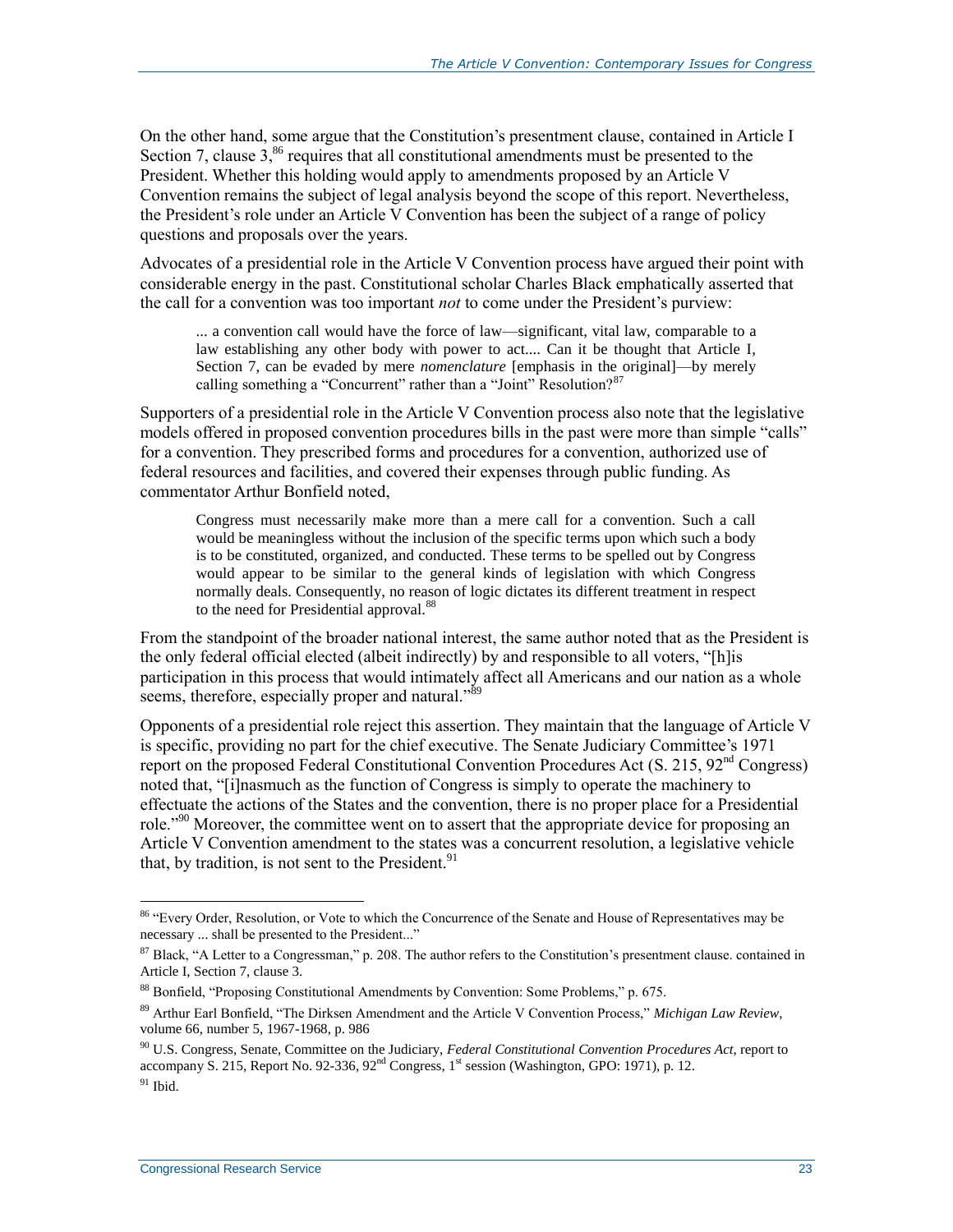On the other hand, some argue that the Constitution's presentment clause, contained in Article I Section 7, clause  $3<sup>86</sup>$  requires that all constitutional amendments must be presented to the President. Whether this holding would apply to amendments proposed by an Article V Convention remains the subject of legal analysis beyond the scope of this report. Nevertheless, the President's role under an Article V Convention has been the subject of a range of policy questions and proposals over the years.

Advocates of a presidential role in the Article V Convention process have argued their point with considerable energy in the past. Constitutional scholar Charles Black emphatically asserted that the call for a convention was too important *not* to come under the President's purview:

... a convention call would have the force of law—significant, vital law, comparable to a law establishing any other body with power to act.... Can it be thought that Article I, Section 7, can be evaded by mere *nomenclature* [emphasis in the original]—by merely calling something a "Concurrent" rather than a "Joint" Resolution?<sup>87</sup>

Supporters of a presidential role in the Article V Convention process also note that the legislative models offered in proposed convention procedures bills in the past were more than simple "calls" for a convention. They prescribed forms and procedures for a convention, authorized use of federal resources and facilities, and covered their expenses through public funding. As commentator Arthur Bonfield noted,

Congress must necessarily make more than a mere call for a convention. Such a call would be meaningless without the inclusion of the specific terms upon which such a body is to be constituted, organized, and conducted. These terms to be spelled out by Congress would appear to be similar to the general kinds of legislation with which Congress normally deals. Consequently, no reason of logic dictates its different treatment in respect to the need for Presidential approval.<sup>88</sup>

From the standpoint of the broader national interest, the same author noted that as the President is the only federal official elected (albeit indirectly) by and responsible to all voters, "[h]is participation in this process that would intimately affect all Americans and our nation as a whole seems, therefore, especially proper and natural."<sup>89</sup>

Opponents of a presidential role reject this assertion. They maintain that the language of Article V is specific, providing no part for the chief executive. The Senate Judiciary Committee's 1971 report on the proposed Federal Constitutional Convention Procedures Act (S. 215, 92<sup>nd</sup> Congress) noted that, "[i]nasmuch as the function of Congress is simply to operate the machinery to effectuate the actions of the States and the convention, there is no proper place for a Presidential role."<sup>90</sup> Moreover, the committee went on to assert that the appropriate device for proposing an Article V Convention amendment to the states was a concurrent resolution, a legislative vehicle that, by tradition, is not sent to the President. $91$ 

<sup>&</sup>lt;sup>86</sup> "Every Order, Resolution, or Vote to which the Concurrence of the Senate and House of Representatives may be necessary ... shall be presented to the President..."

 $87$  Black, "A Letter to a Congressman," p. 208. The author refers to the Constitution's presentment clause. contained in Article I, Section 7, clause 3.

<sup>88</sup> Bonfield, "Proposing Constitutional Amendments by Convention: Some Problems," p. 675.

<sup>89</sup> Arthur Earl Bonfield, "The Dirksen Amendment and the Article V Convention Process," *Michigan Law Review*, volume 66, number 5, 1967-1968, p. 986

<sup>90</sup> U.S. Congress, Senate, Committee on the Judiciary, *Federal Constitutional Convention Procedures Act*, report to accompany S. 215, Report No. 92-336, 92<sup>nd</sup> Congress, 1<sup>st</sup> session (Washington, GPO: 1971), p. 12.  $91$  Ibid.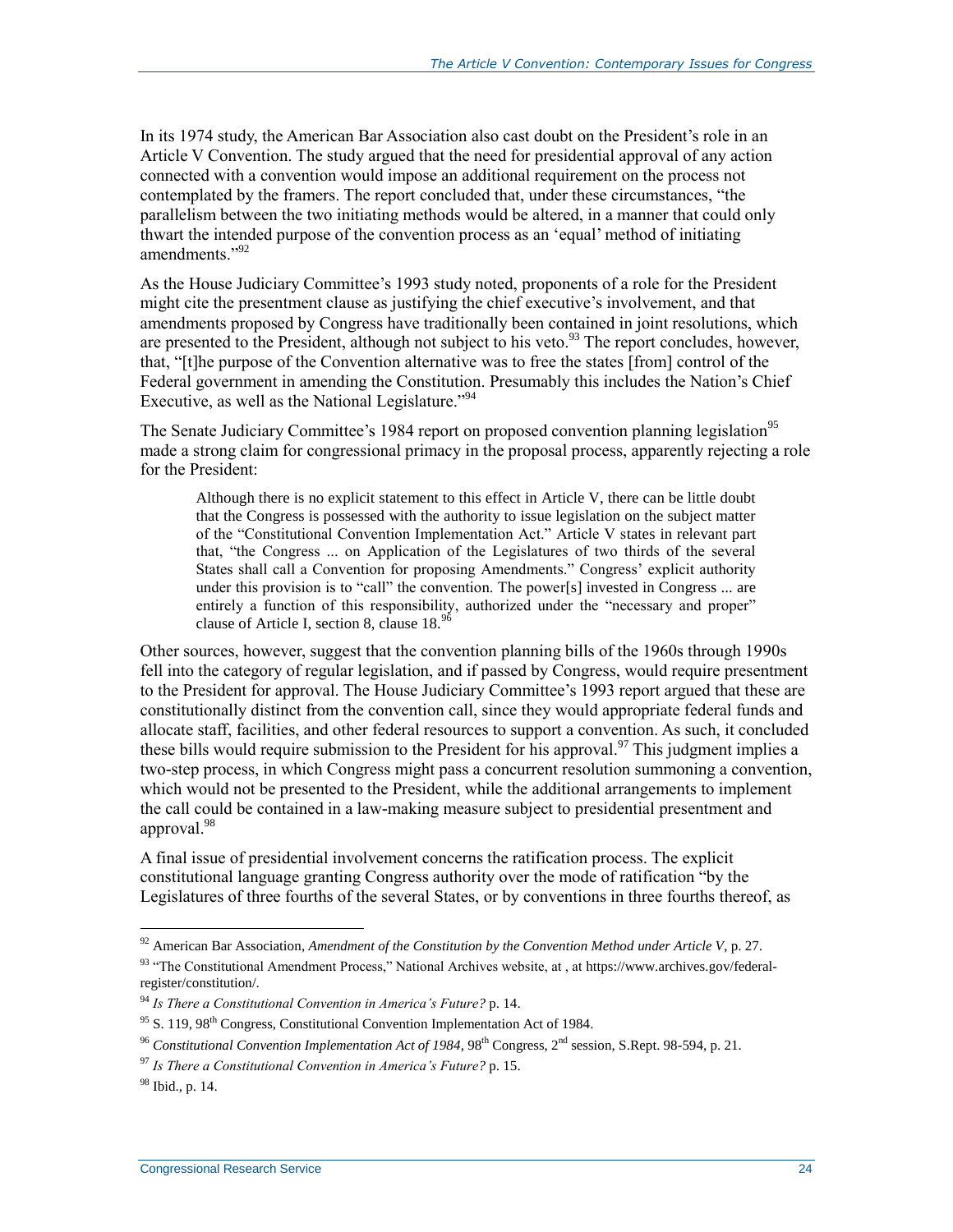In its 1974 study, the American Bar Association also cast doubt on the President's role in an Article V Convention. The study argued that the need for presidential approval of any action connected with a convention would impose an additional requirement on the process not contemplated by the framers. The report concluded that, under these circumstances, "the parallelism between the two initiating methods would be altered, in a manner that could only thwart the intended purpose of the convention process as an 'equal' method of initiating amendments."<sup>92</sup>

As the House Judiciary Committee's 1993 study noted, proponents of a role for the President might cite the presentment clause as justifying the chief executive's involvement, and that amendments proposed by Congress have traditionally been contained in joint resolutions, which are presented to the President, although not subject to his veto.<sup>93</sup> The report concludes, however, that, "[t]he purpose of the Convention alternative was to free the states [from] control of the Federal government in amending the Constitution. Presumably this includes the Nation's Chief Executive, as well as the National Legislature."<sup>94</sup>

The Senate Judiciary Committee's 1984 report on proposed convention planning legislation<sup>95</sup> made a strong claim for congressional primacy in the proposal process, apparently rejecting a role for the President:

Although there is no explicit statement to this effect in Article V, there can be little doubt that the Congress is possessed with the authority to issue legislation on the subject matter of the "Constitutional Convention Implementation Act." Article V states in relevant part that, "the Congress ... on Application of the Legislatures of two thirds of the several States shall call a Convention for proposing Amendments." Congress' explicit authority under this provision is to "call" the convention. The power[s] invested in Congress ... are entirely a function of this responsibility, authorized under the "necessary and proper" clause of Article I, section 8, clause 18.<sup>96</sup>

Other sources, however, suggest that the convention planning bills of the 1960s through 1990s fell into the category of regular legislation, and if passed by Congress, would require presentment to the President for approval. The House Judiciary Committee's 1993 report argued that these are constitutionally distinct from the convention call, since they would appropriate federal funds and allocate staff, facilities, and other federal resources to support a convention. As such, it concluded these bills would require submission to the President for his approval.<sup>97</sup> This judgment implies a two-step process, in which Congress might pass a concurrent resolution summoning a convention, which would not be presented to the President, while the additional arrangements to implement the call could be contained in a law-making measure subject to presidential presentment and approval.<sup>98</sup>

A final issue of presidential involvement concerns the ratification process. The explicit constitutional language granting Congress authority over the mode of ratification "by the Legislatures of three fourths of the several States, or by conventions in three fourths thereof, as

<sup>92</sup> American Bar Association, *Amendment of the Constitution by the Convention Method under Article V*, p. 27.

<sup>93 &</sup>quot;The Constitutional Amendment Process," National Archives website, at, at https://www.archives.gov/federalregister/constitution/.

<sup>94</sup> *Is There a Constitutional Convention in America's Future?* p. 14.

 $95$  S. 119, 98<sup>th</sup> Congress, Constitutional Convention Implementation Act of 1984.

<sup>&</sup>lt;sup>96</sup> Constitutional Convention Implementation Act of 1984, 98<sup>th</sup> Congress, 2<sup>nd</sup> session, S.Rept. 98-594, p. 21.

<sup>97</sup> *Is There a Constitutional Convention in America's Future?* p. 15.

 $98$  Ibid., p. 14.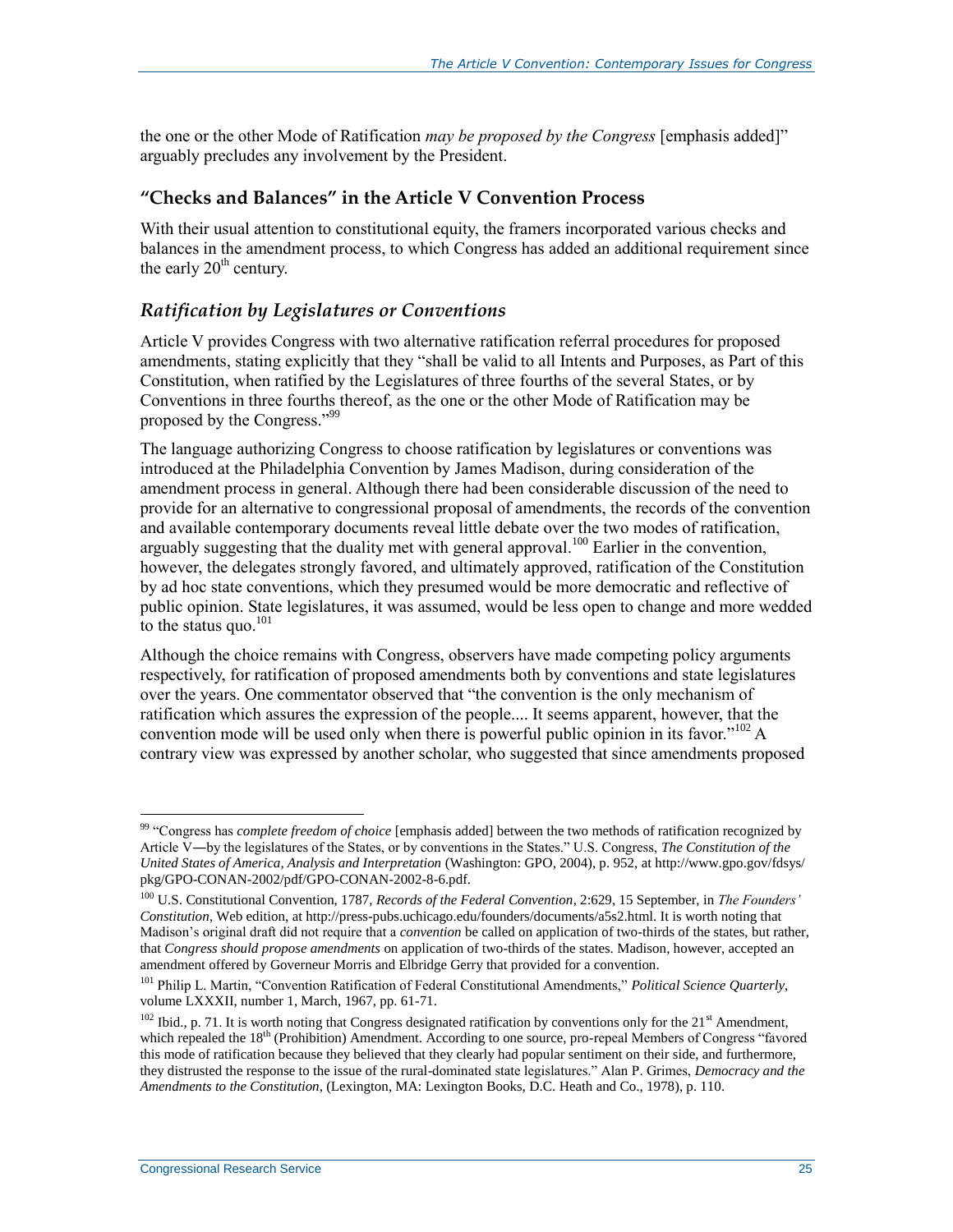the one or the other Mode of Ratification *may be proposed by the Congress* [emphasis added]" arguably precludes any involvement by the President.

#### **"Checks and Balances" in the Article V Convention Process**

With their usual attention to constitutional equity, the framers incorporated various checks and balances in the amendment process, to which Congress has added an additional requirement since the early  $20<sup>th</sup>$  century.

#### *Ratification by Legislatures or Conventions*

Article V provides Congress with two alternative ratification referral procedures for proposed amendments, stating explicitly that they "shall be valid to all Intents and Purposes, as Part of this Constitution, when ratified by the Legislatures of three fourths of the several States, or by Conventions in three fourths thereof, as the one or the other Mode of Ratification may be proposed by the Congress."<sup>99</sup>

The language authorizing Congress to choose ratification by legislatures or conventions was introduced at the Philadelphia Convention by James Madison, during consideration of the amendment process in general. Although there had been considerable discussion of the need to provide for an alternative to congressional proposal of amendments, the records of the convention and available contemporary documents reveal little debate over the two modes of ratification, arguably suggesting that the duality met with general approval.<sup>100</sup> Earlier in the convention, however, the delegates strongly favored, and ultimately approved, ratification of the Constitution by ad hoc state conventions, which they presumed would be more democratic and reflective of public opinion. State legislatures, it was assumed, would be less open to change and more wedded to the status quo. $^{101}$ 

Although the choice remains with Congress, observers have made competing policy arguments respectively, for ratification of proposed amendments both by conventions and state legislatures over the years. One commentator observed that "the convention is the only mechanism of ratification which assures the expression of the people.... It seems apparent, however, that the convention mode will be used only when there is powerful public opinion in its favor."<sup>102</sup> A contrary view was expressed by another scholar, who suggested that since amendments proposed

<sup>99</sup> "Congress has *complete freedom of choice* [emphasis added] between the two methods of ratification recognized by Article V―by the legislatures of the States, or by conventions in the States." U.S. Congress, *The Constitution of the United States of America, Analysis and Interpretation* (Washington: GPO, 2004), p. 952, at http://www.gpo.gov/fdsys/ pkg/GPO-CONAN-2002/pdf/GPO-CONAN-2002-8-6.pdf.

<sup>100</sup> U.S. Constitutional Convention, 1787, *Records of the Federal Convention*, 2:629, 15 September, in *The Founders' Constitution*, Web edition, at http://press-pubs.uchicago.edu/founders/documents/a5s2.html. It is worth noting that Madison's original draft did not require that a *convention* be called on application of two-thirds of the states, but rather, that *Congress should propose amendments* on application of two-thirds of the states. Madison, however, accepted an amendment offered by Governeur Morris and Elbridge Gerry that provided for a convention.

<sup>101</sup> Philip L. Martin, "Convention Ratification of Federal Constitutional Amendments," *Political Science Quarterly*, volume LXXXII, number 1, March, 1967, pp. 61-71.

 $102$  Ibid., p. 71. It is worth noting that Congress designated ratification by conventions only for the 21<sup>st</sup> Amendment, which repealed the  $18<sup>th</sup>$  (Prohibition) Amendment. According to one source, pro-repeal Members of Congress "favored" this mode of ratification because they believed that they clearly had popular sentiment on their side, and furthermore, they distrusted the response to the issue of the rural-dominated state legislatures." Alan P. Grimes, *Democracy and the Amendments to the Constitution*, (Lexington, MA: Lexington Books, D.C. Heath and Co., 1978), p. 110.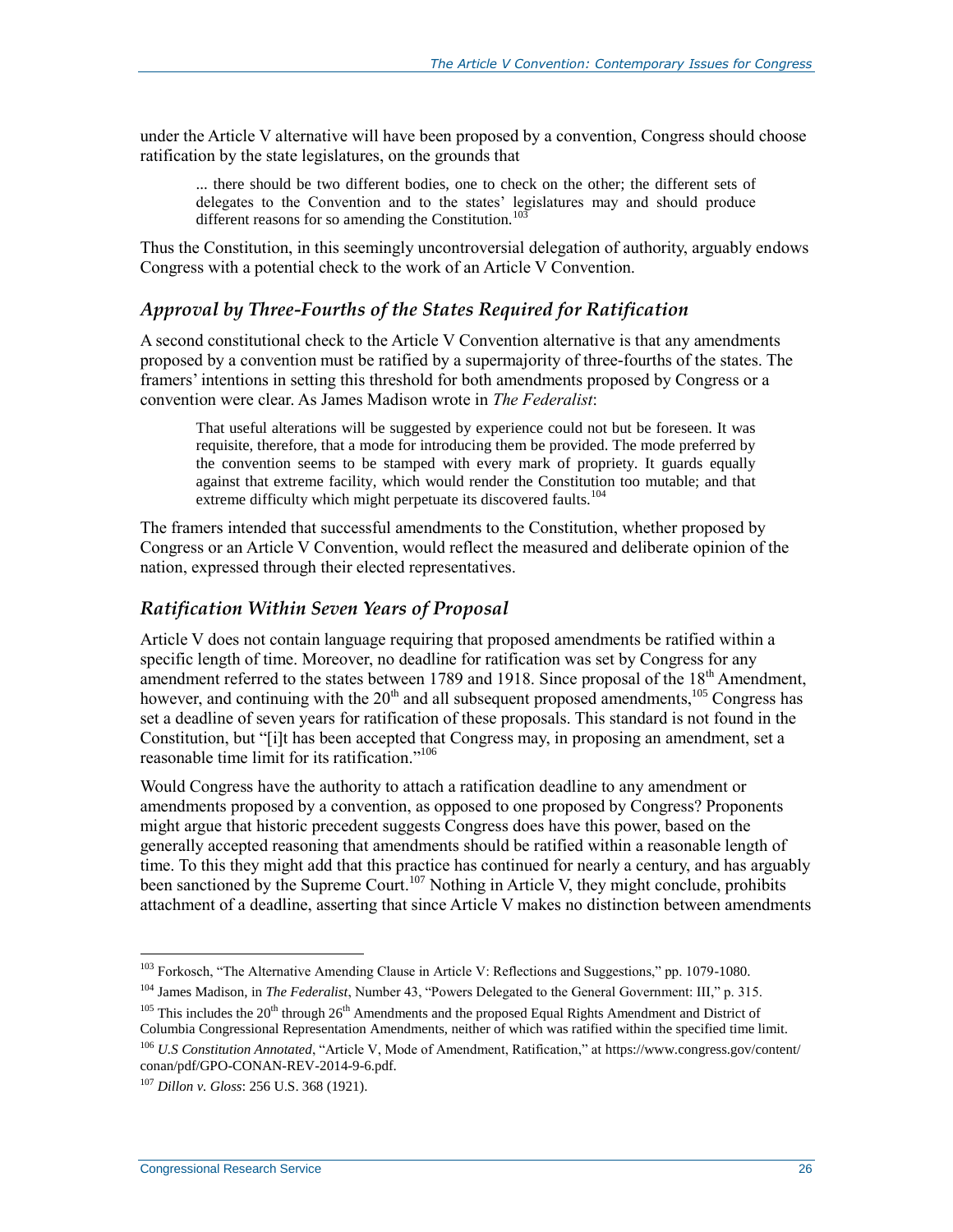under the Article V alternative will have been proposed by a convention, Congress should choose ratification by the state legislatures, on the grounds that

... there should be two different bodies, one to check on the other; the different sets of delegates to the Convention and to the states' legislatures may and should produce different reasons for so amending the Constitution.<sup>103</sup>

Thus the Constitution, in this seemingly uncontroversial delegation of authority, arguably endows Congress with a potential check to the work of an Article V Convention.

#### *Approval by Three-Fourths of the States Required for Ratification*

A second constitutional check to the Article V Convention alternative is that any amendments proposed by a convention must be ratified by a supermajority of three-fourths of the states. The framers' intentions in setting this threshold for both amendments proposed by Congress or a convention were clear. As James Madison wrote in *The Federalist*:

That useful alterations will be suggested by experience could not but be foreseen. It was requisite, therefore, that a mode for introducing them be provided. The mode preferred by the convention seems to be stamped with every mark of propriety. It guards equally against that extreme facility, which would render the Constitution too mutable; and that extreme difficulty which might perpetuate its discovered faults.<sup>104</sup>

The framers intended that successful amendments to the Constitution, whether proposed by Congress or an Article V Convention, would reflect the measured and deliberate opinion of the nation, expressed through their elected representatives.

#### *Ratification Within Seven Years of Proposal*

Article V does not contain language requiring that proposed amendments be ratified within a specific length of time. Moreover, no deadline for ratification was set by Congress for any amendment referred to the states between 1789 and 1918. Since proposal of the  $18<sup>th</sup>$  Amendment, however, and continuing with the  $20<sup>th</sup>$  and all subsequent proposed amendments,  $^{105}$  Congress has set a deadline of seven years for ratification of these proposals. This standard is not found in the Constitution, but "[i]t has been accepted that Congress may, in proposing an amendment, set a reasonable time limit for its ratification."<sup>106</sup>

Would Congress have the authority to attach a ratification deadline to any amendment or amendments proposed by a convention, as opposed to one proposed by Congress? Proponents might argue that historic precedent suggests Congress does have this power, based on the generally accepted reasoning that amendments should be ratified within a reasonable length of time. To this they might add that this practice has continued for nearly a century, and has arguably been sanctioned by the Supreme Court.<sup>107</sup> Nothing in Article V, they might conclude, prohibits attachment of a deadline, asserting that since Article V makes no distinction between amendments

<sup>&</sup>lt;sup>103</sup> Forkosch, "The Alternative Amending Clause in Article V: Reflections and Suggestions," pp. 1079-1080.

<sup>104</sup> James Madison, in *The Federalist*, Number 43, "Powers Delegated to the General Government: III," p. 315. <sup>105</sup> This includes the 20<sup>th</sup> through  $26<sup>th</sup>$  Amendments and the proposed Equal Rights Amendment and District of

Columbia Congressional Representation Amendments, neither of which was ratified within the specified time limit.

<sup>&</sup>lt;sup>106</sup> *U.S Constitution Annotated*, "Article V, Mode of Amendment, Ratification," at https://www.congress.gov/content/ conan/pdf/GPO-CONAN-REV-2014-9-6.pdf.

<sup>107</sup> *Dillon v. Gloss*: 256 U.S. 368 (1921).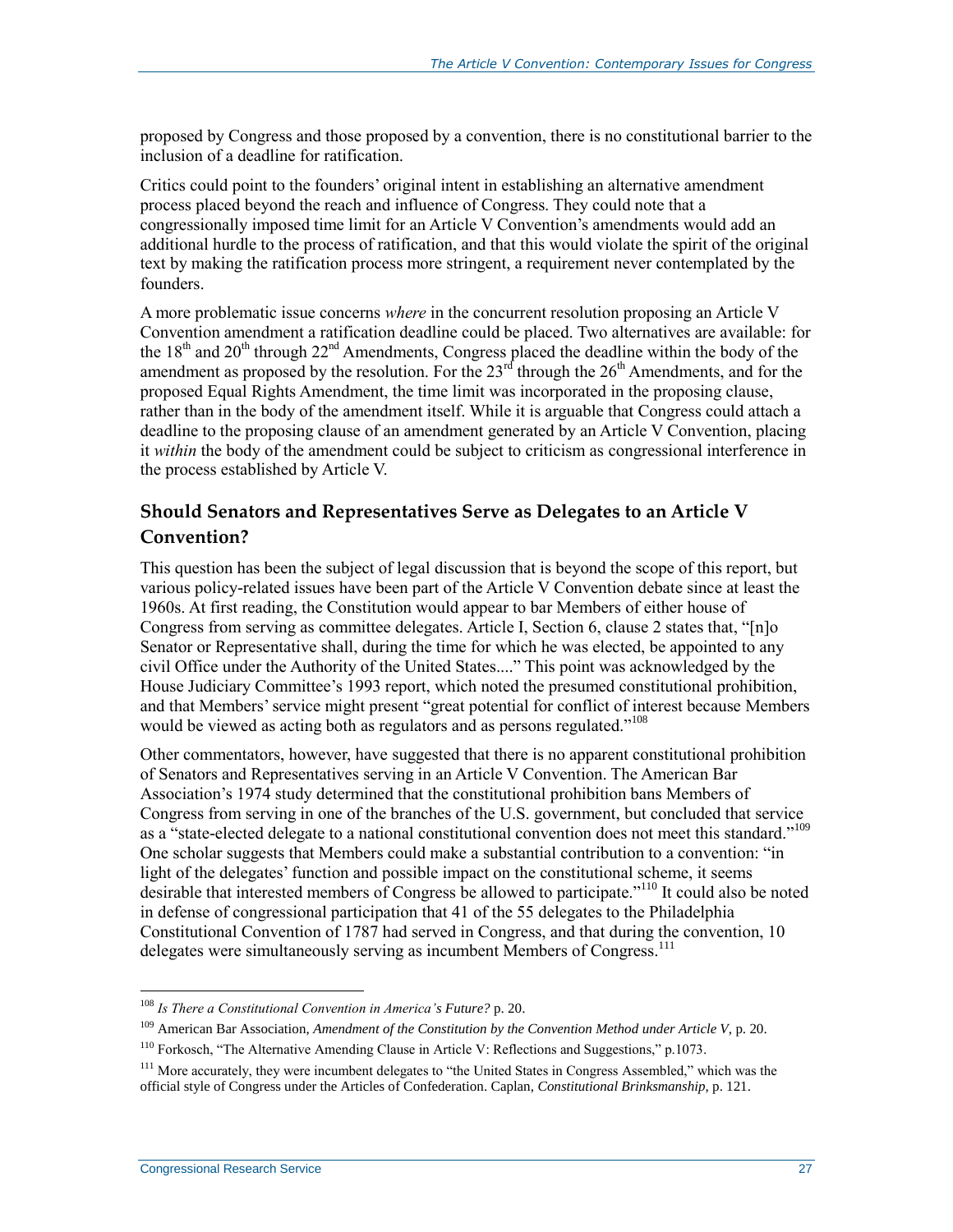proposed by Congress and those proposed by a convention, there is no constitutional barrier to the inclusion of a deadline for ratification.

Critics could point to the founders' original intent in establishing an alternative amendment process placed beyond the reach and influence of Congress. They could note that a congressionally imposed time limit for an Article V Convention's amendments would add an additional hurdle to the process of ratification, and that this would violate the spirit of the original text by making the ratification process more stringent, a requirement never contemplated by the founders.

A more problematic issue concerns *where* in the concurrent resolution proposing an Article V Convention amendment a ratification deadline could be placed. Two alternatives are available: for the  $18<sup>th</sup>$  and  $20<sup>th</sup>$  through  $22<sup>nd</sup>$  Amendments, Congress placed the deadline within the body of the amendment as proposed by the resolution. For the  $23<sup>rd</sup>$  through the  $26<sup>th</sup>$  Amendments, and for the proposed Equal Rights Amendment, the time limit was incorporated in the proposing clause, rather than in the body of the amendment itself. While it is arguable that Congress could attach a deadline to the proposing clause of an amendment generated by an Article V Convention, placing it *within* the body of the amendment could be subject to criticism as congressional interference in the process established by Article V.

#### **Should Senators and Representatives Serve as Delegates to an Article V Convention?**

This question has been the subject of legal discussion that is beyond the scope of this report, but various policy-related issues have been part of the Article V Convention debate since at least the 1960s. At first reading, the Constitution would appear to bar Members of either house of Congress from serving as committee delegates. Article I, Section 6, clause 2 states that, "[n]o Senator or Representative shall, during the time for which he was elected, be appointed to any civil Office under the Authority of the United States...." This point was acknowledged by the House Judiciary Committee's 1993 report, which noted the presumed constitutional prohibition, and that Members' service might present "great potential for conflict of interest because Members would be viewed as acting both as regulators and as persons regulated."<sup>108</sup>

Other commentators, however, have suggested that there is no apparent constitutional prohibition of Senators and Representatives serving in an Article V Convention. The American Bar Association's 1974 study determined that the constitutional prohibition bans Members of Congress from serving in one of the branches of the U.S. government, but concluded that service as a "state-elected delegate to a national constitutional convention does not meet this standard."<sup>109</sup> One scholar suggests that Members could make a substantial contribution to a convention: "in light of the delegates' function and possible impact on the constitutional scheme, it seems desirable that interested members of Congress be allowed to participate."<sup>110</sup> It could also be noted in defense of congressional participation that 41 of the 55 delegates to the Philadelphia Constitutional Convention of 1787 had served in Congress, and that during the convention, 10 delegates were simultaneously serving as incumbent Members of Congress.<sup>111</sup>

<sup>108</sup> *Is There a Constitutional Convention in America's Future?* p. 20.

<sup>109</sup> American Bar Association, *Amendment of the Constitution by the Convention Method under Article V*, p. 20.

<sup>&</sup>lt;sup>110</sup> Forkosch, "The Alternative Amending Clause in Article V: Reflections and Suggestions," p.1073.

<sup>&</sup>lt;sup>111</sup> More accurately, they were incumbent delegates to "the United States in Congress Assembled," which was the official style of Congress under the Articles of Confederation. Caplan, *Constitutional Brinksmanship*, p. 121.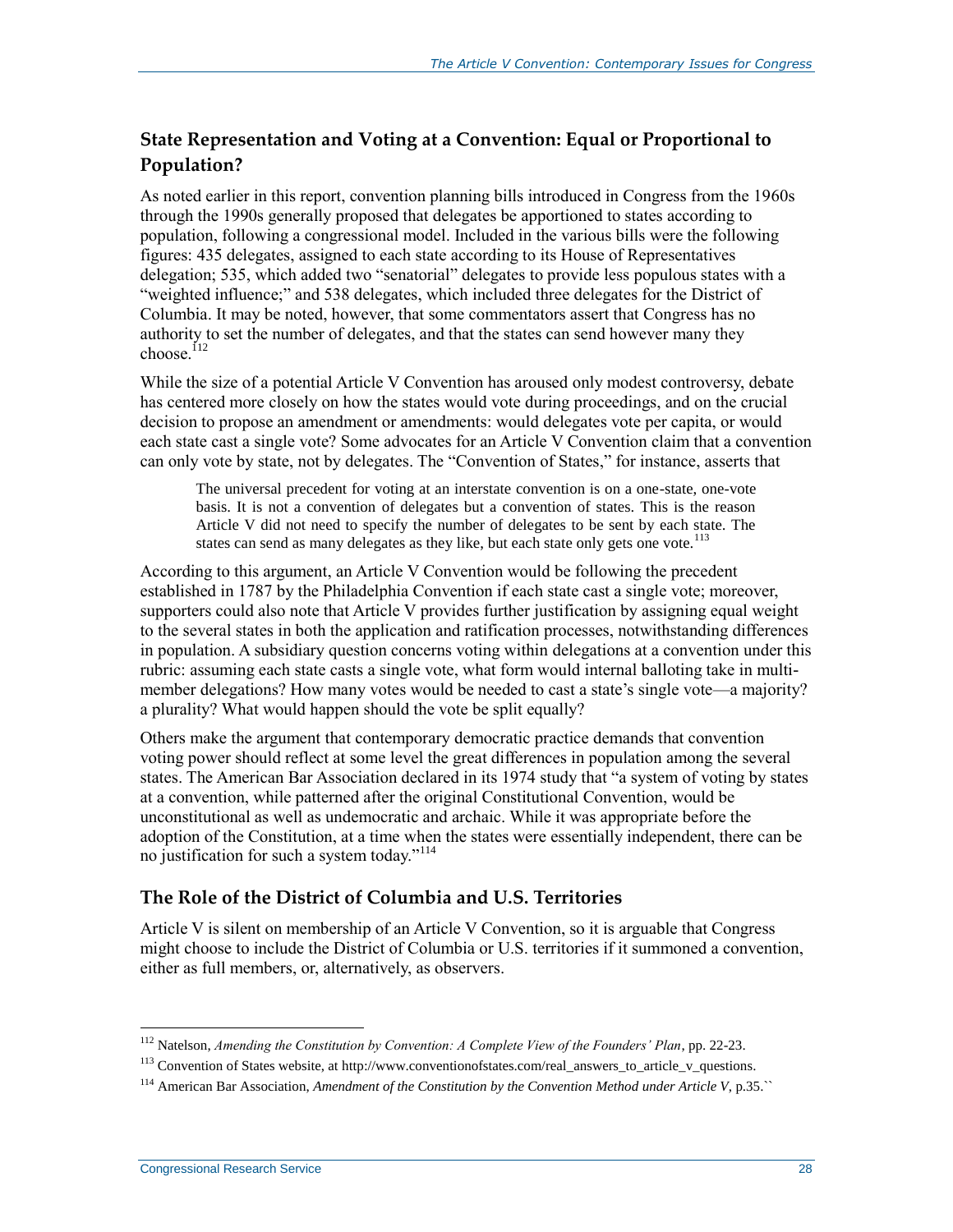#### **State Representation and Voting at a Convention: Equal or Proportional to Population?**

As noted earlier in this report, convention planning bills introduced in Congress from the 1960s through the 1990s generally proposed that delegates be apportioned to states according to population, following a congressional model. Included in the various bills were the following figures: 435 delegates, assigned to each state according to its House of Representatives delegation; 535, which added two "senatorial" delegates to provide less populous states with a "weighted influence;" and 538 delegates, which included three delegates for the District of Columbia. It may be noted, however, that some commentators assert that Congress has no authority to set the number of delegates, and that the states can send however many they choose. $^{112}$ 

While the size of a potential Article V Convention has aroused only modest controversy, debate has centered more closely on how the states would vote during proceedings, and on the crucial decision to propose an amendment or amendments: would delegates vote per capita, or would each state cast a single vote? Some advocates for an Article V Convention claim that a convention can only vote by state, not by delegates. The "Convention of States," for instance, asserts that

The universal precedent for voting at an interstate convention is on a one-state, one-vote basis. It is not a convention of delegates but a convention of states. This is the reason Article V did not need to specify the number of delegates to be sent by each state. The states can send as many delegates as they like, but each state only gets one vote. $^{113}$ 

According to this argument, an Article V Convention would be following the precedent established in 1787 by the Philadelphia Convention if each state cast a single vote; moreover, supporters could also note that Article V provides further justification by assigning equal weight to the several states in both the application and ratification processes, notwithstanding differences in population. A subsidiary question concerns voting within delegations at a convention under this rubric: assuming each state casts a single vote, what form would internal balloting take in multimember delegations? How many votes would be needed to cast a state's single vote—a majority? a plurality? What would happen should the vote be split equally?

Others make the argument that contemporary democratic practice demands that convention voting power should reflect at some level the great differences in population among the several states. The American Bar Association declared in its 1974 study that "a system of voting by states at a convention, while patterned after the original Constitutional Convention, would be unconstitutional as well as undemocratic and archaic. While it was appropriate before the adoption of the Constitution, at a time when the states were essentially independent, there can be no justification for such a system today."<sup>114</sup>

#### **The Role of the District of Columbia and U.S. Territories**

Article V is silent on membership of an Article V Convention, so it is arguable that Congress might choose to include the District of Columbia or U.S. territories if it summoned a convention, either as full members, or, alternatively, as observers.

<sup>112</sup> Natelson, *Amending the Constitution by Convention: A Complete View of the Founders' Plan*, pp. 22-23.

<sup>&</sup>lt;sup>113</sup> Convention of States website, at http://www.conventionofstates.com/real\_answers\_to\_article\_v\_questions.

<sup>114</sup> American Bar Association, *Amendment of the Constitution by the Convention Method under Article V*, p.35.``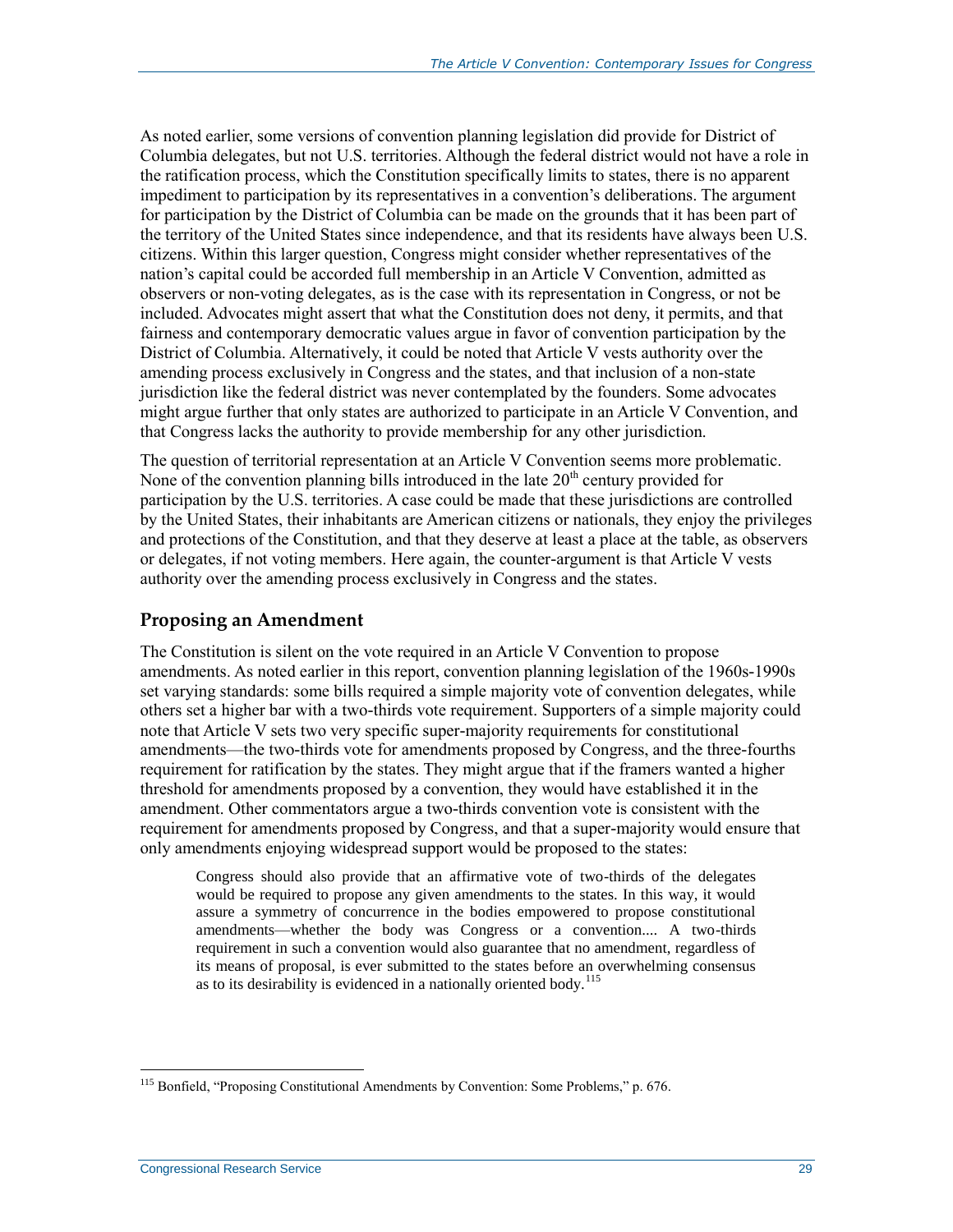As noted earlier, some versions of convention planning legislation did provide for District of Columbia delegates, but not U.S. territories. Although the federal district would not have a role in the ratification process, which the Constitution specifically limits to states, there is no apparent impediment to participation by its representatives in a convention's deliberations. The argument for participation by the District of Columbia can be made on the grounds that it has been part of the territory of the United States since independence, and that its residents have always been U.S. citizens. Within this larger question, Congress might consider whether representatives of the nation's capital could be accorded full membership in an Article V Convention, admitted as observers or non-voting delegates, as is the case with its representation in Congress, or not be included. Advocates might assert that what the Constitution does not deny, it permits, and that fairness and contemporary democratic values argue in favor of convention participation by the District of Columbia. Alternatively, it could be noted that Article V vests authority over the amending process exclusively in Congress and the states, and that inclusion of a non-state jurisdiction like the federal district was never contemplated by the founders. Some advocates might argue further that only states are authorized to participate in an Article V Convention, and that Congress lacks the authority to provide membership for any other jurisdiction.

The question of territorial representation at an Article V Convention seems more problematic. None of the convention planning bills introduced in the late  $20<sup>th</sup>$  century provided for participation by the U.S. territories. A case could be made that these jurisdictions are controlled by the United States, their inhabitants are American citizens or nationals, they enjoy the privileges and protections of the Constitution, and that they deserve at least a place at the table, as observers or delegates, if not voting members. Here again, the counter-argument is that Article V vests authority over the amending process exclusively in Congress and the states.

#### **Proposing an Amendment**

The Constitution is silent on the vote required in an Article V Convention to propose amendments. As noted earlier in this report, convention planning legislation of the 1960s-1990s set varying standards: some bills required a simple majority vote of convention delegates, while others set a higher bar with a two-thirds vote requirement. Supporters of a simple majority could note that Article V sets two very specific super-majority requirements for constitutional amendments—the two-thirds vote for amendments proposed by Congress, and the three-fourths requirement for ratification by the states. They might argue that if the framers wanted a higher threshold for amendments proposed by a convention, they would have established it in the amendment. Other commentators argue a two-thirds convention vote is consistent with the requirement for amendments proposed by Congress, and that a super-majority would ensure that only amendments enjoying widespread support would be proposed to the states:

Congress should also provide that an affirmative vote of two-thirds of the delegates would be required to propose any given amendments to the states. In this way, it would assure a symmetry of concurrence in the bodies empowered to propose constitutional amendments—whether the body was Congress or a convention.... A two-thirds requirement in such a convention would also guarantee that no amendment, regardless of its means of proposal, is ever submitted to the states before an overwhelming consensus as to its desirability is evidenced in a nationally oriented body.<sup>115</sup>

 $\overline{a}$ <sup>115</sup> Bonfield, "Proposing Constitutional Amendments by Convention: Some Problems," p. 676.